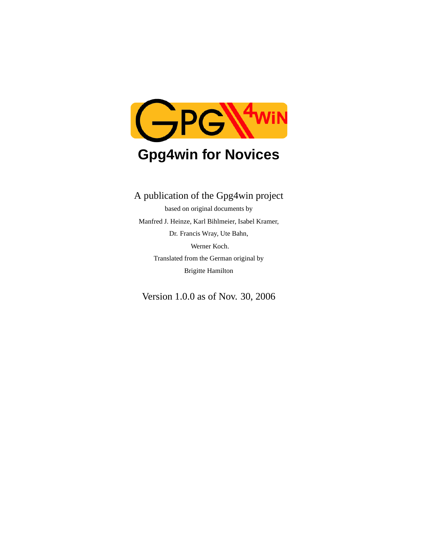

# **Gpg4win for Novices**

# A publication of the Gpg4win project

based on original documents by Manfred J. Heinze, Karl Bihlmeier, Isabel Kramer, Dr. Francis Wray, Ute Bahn, Werner Koch. Translated from the German original by Brigitte Hamilton

Version 1.0.0 as of Nov. 30, 2006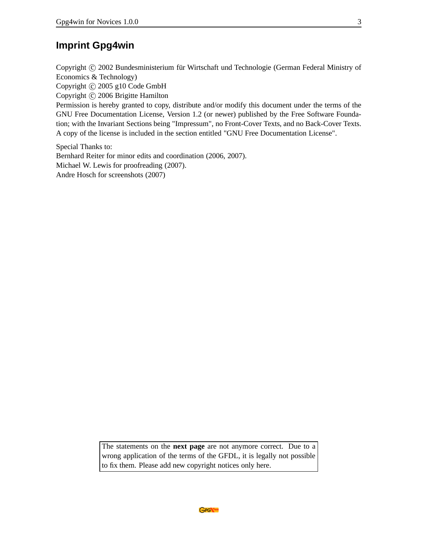### **Imprint Gpg4win**

Copyright © 2002 Bundesministerium für Wirtschaft und Technologie (German Federal Ministry of Economics & Technology) Copyright  $\odot$  2005 g10 Code GmbH

Copyright © 2006 Brigitte Hamilton

Permission is hereby granted to copy, distribute and/or modify this document under the terms of the GNU Free Documentation License, Version 1.2 (or newer) published by the Free Software Foundation; with the Invariant Sections being "Impressum", no Front-Cover Texts, and no Back-Cover Texts. A copy of the license is included in the section entitled "GNU Free Documentation License".

Special Thanks to: Bernhard Reiter for minor edits and coordination (2006, 2007). Michael W. Lewis for proofreading (2007). Andre Hosch for screenshots (2007)

> The statements on the **next page** are not anymore correct. Due to a wrong application of the terms of the GFDL, it is legally not possible to fix them. Please add new copyright notices only here.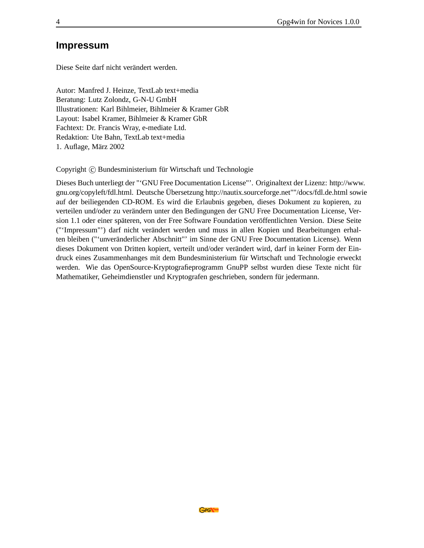#### **Impressum**

Diese Seite darf nicht verändert werden.

Autor: Manfred J. Heinze, TextLab text+media Beratung: Lutz Zolondz, G-N-U GmbH Illustrationen: Karl Bihlmeier, Bihlmeier & Kramer GbR Layout: Isabel Kramer, Bihlmeier & Kramer GbR Fachtext: Dr. Francis Wray, e-mediate Ltd. Redaktion: Ute Bahn, TextLab text+media 1. Auflage, März 2002

Copyright © Bundesministerium für Wirtschaft und Technologie

Dieses Buch unterliegt der "'GNU Free Documentation License"'. Originaltext der Lizenz: http://www. gnu.org/copyleft/fdl.html. Deutsche Übersetzung http://nautix.sourceforge.net""/docs/fdl.de.html sowie auf der beiliegenden CD-ROM. Es wird die Erlaubnis gegeben, dieses Dokument zu kopieren, zu verteilen und/oder zu verändern unter den Bedingungen der GNU Free Documentation License, Version 1.1 oder einer späteren, von der Free Software Foundation veröffentlichten Version. Diese Seite ("'Impressum"') darf nicht verändert werden und muss in allen Kopien und Bearbeitungen erhalten bleiben ("'unveränderlicher Abschnitt"' im Sinne der GNU Free Documentation License). Wenn dieses Dokument von Dritten kopiert, verteilt und/oder verändert wird, darf in keiner Form der Eindruck eines Zusammenhanges mit dem Bundesministerium für Wirtschaft und Technologie erweckt werden. Wie das OpenSource-Kryptografieprogramm GnuPP selbst wurden diese Texte nicht für Mathematiker, Geheimdienstler und Kryptografen geschrieben, sondern für jedermann.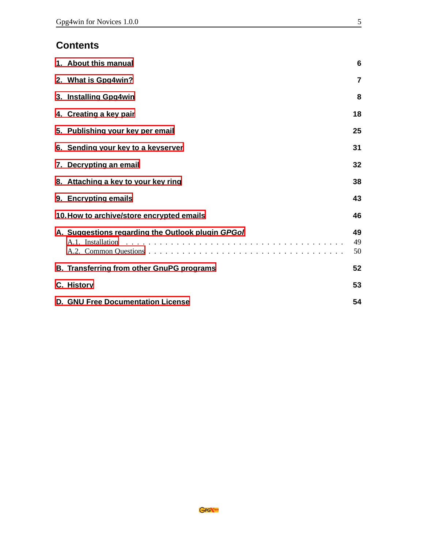# **Contents**

| 1. About this manual                                                   | 6                       |
|------------------------------------------------------------------------|-------------------------|
| 2. What is Gpg4win?                                                    | $\overline{\mathbf{r}}$ |
| 3. Installing Gpg4win                                                  | 8                       |
| 4. Creating a key pair                                                 | 18                      |
| 5. Publishing your key per email                                       | 25                      |
| 6. Sending your key to a keyserver                                     | 31                      |
| 7. Decrypting an email                                                 | 32                      |
| 8. Attaching a key to your key ring                                    | 38                      |
| 9. Encrypting emails                                                   | 43                      |
| 10. How to archive/store encrypted emails                              | 46                      |
| A. Suggestions regarding the Outlook plugin GPGol<br>A.1. Installation | 49<br>49<br>50          |
| B. Transferring from other GnuPG programs                              | 52                      |
| C. History                                                             | 53                      |
| <b>D. GNU Free Documentation License</b>                               | 54                      |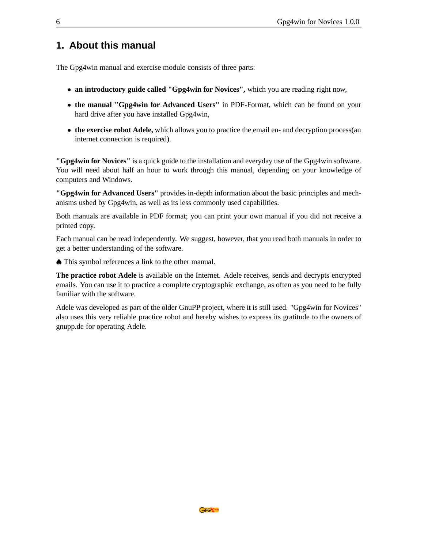### <span id="page-5-0"></span>**1. About this manual**

The Gpg4win manual and exercise module consists of three parts:

- **an introductory guide called "Gpg4win for Novices",** which you are reading right now,
- **the manual "Gpg4win for Advanced Users"** in PDF-Format, which can be found on your hard drive after you have installed Gpg4win,
- the exercise robot Adele, which allows you to practice the email en- and decryption process(an internet connection is required).

**"Gpg4win for Novices"** is a quick guide to the installation and everyday use of the Gpg4win software. You will need about half an hour to work through this manual, depending on your knowledge of computers and Windows.

**"Gpg4win for Advanced Users"** provides in-depth information about the basic principles and mechanisms usbed by Gpg4win, as well as its less commonly used capabilities.

Both manuals are available in PDF format; you can print your own manual if you did not receive a printed copy.

Each manual can be read independently. We suggest, however, that you read both manuals in order to get a better understanding of the software.

♠ This symbol references a link to the other manual.

**The practice robot Adele** is available on the Internet. Adele receives, sends and decrypts encrypted emails. You can use it to practice a complete cryptographic exchange, as often as you need to be fully familiar with the software.

Adele was developed as part of the older GnuPP project, where it is still used. "Gpg4win for Novices" also uses this very reliable practice robot and hereby wishes to express its gratitude to the owners of gnupp.de for operating Adele.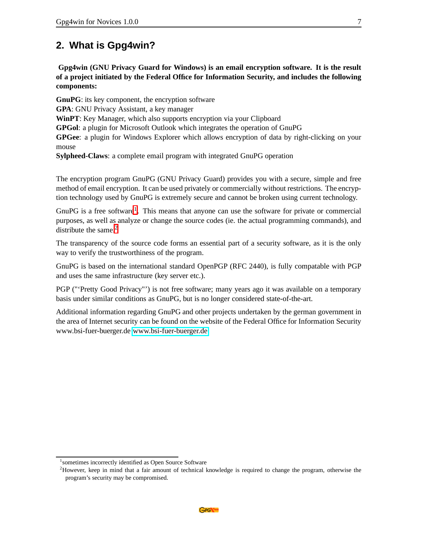# <span id="page-6-0"></span>**2. What is Gpg4win?**

**Gpg4win (GNU Privacy Guard for Windows) is an email encryption software. It is the result of a project initiated by the Federal Office for Information Security, and includes the following components:**

**GnuPG**: its key component, the encryption software **GPA**: GNU Privacy Assistant, a key manager **WinPT**: Key Manager, which also supports encryption via your Clipboard **GPGol**: a plugin for Microsoft Outlook which integrates the operation of GnuPG **GPGee**: a plugin for Windows Explorer which allows encryption of data by right-clicking on your mouse **Sylpheed-Claws**: a complete email program with integrated GnuPG operation

The encryption program GnuPG (GNU Privacy Guard) provides you with a secure, simple and free method of email encryption. It can be used privately or commercially without restrictions. The encryption technology used by GnuPG is extremely secure and cannot be broken using current technology.

GnuPG is a free software<sup>[1](#page-6-1)</sup>. This means that anyone can use the software for private or commercial purposes, as well as analyze or change the source codes (ie. the actual programming commands), and distribute the same. $2$ 

The transparency of the source code forms an essential part of a security software, as it is the only way to verify the trustworthiness of the program.

GnuPG is based on the international standard OpenPGP (RFC 2440), is fully compatable with PGP and uses the same infrastructure (key server etc.).

PGP ("'Pretty Good Privacy"') is not free software; many years ago it was available on a temporary basis under similar conditions as GnuPG, but is no longer considered state-of-the-art.

Additional information regarding GnuPG and other projects undertaken by the german government in the area of Internet security can be found on the website of the Federal Office for Information Security www.bsi-fuer-buerger.de [www.bsi-fuer-buerger.de](http://www.bsi-fuer-buerger.de)

<sup>&</sup>lt;sup>1</sup> sometimes incorrectly identified as Open Source Software

<span id="page-6-2"></span><span id="page-6-1"></span><sup>&</sup>lt;sup>2</sup>However, keep in mind that a fair amount of technical knowledge is required to change the program, otherwise the program's security may be compromised.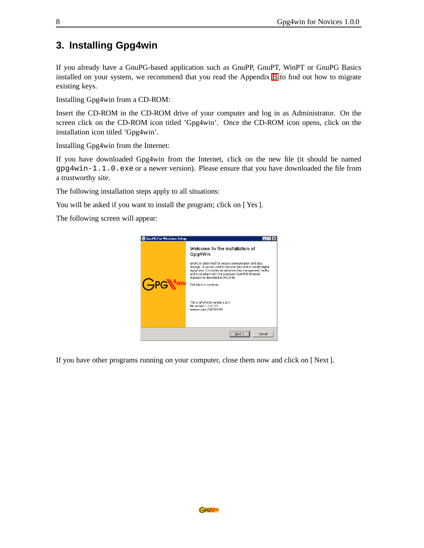# <span id="page-7-0"></span>**3. Installing Gpg4win**

If you already have a GnuPG-based application such as GnuPP, GnuPT, WinPT or GnuPG Basics installed on your system, we recommend that you read the Appendix [B](#page-51-0) to find out how to migrate existing keys.

Installing Gpg4win from a CD-ROM:

Insert the CD-ROM in the CD-ROM drive of your computer and log in as Administrator. On the screen click on the CD-ROM icon titled 'Gpg4win'. Once the CD-ROM icon opens, click on the installation icon titled 'Gpg4win'.

Installing Gpg4win from the Internet:

If you have downloaded Gpg4win from the Internet, click on the new file (it should be named  $gpg4win-1.1.0.$ exe or a newer version). Please ensure that you have downloaded the file from a trustworthy site.

The following installation steps apply to all situations:

You will be asked if you want to install the program; click on [Yes].

The following screen will appear:



If you have other programs running on your computer, close them now and click on [ Next ].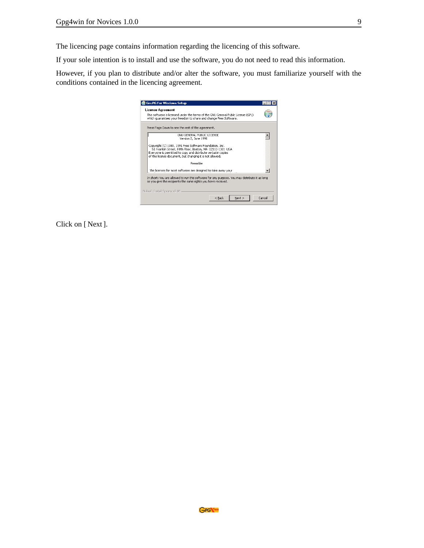The licencing page contains information regarding the licencing of this software.

If your sole intention is to install and use the software, you do not need to read this information.

However, if you plan to distribute and/or alter the software, you must familiarize yourself with the conditions contained in the licencing agreement.

| <b>GnuPG For Windows Setup</b>                                                                                                                                                                                                                     |        |
|----------------------------------------------------------------------------------------------------------------------------------------------------------------------------------------------------------------------------------------------------|--------|
| License Agreement<br>This software is licensed under the terms of the GNU General Public License (GPL)<br>which quarantees your freedom to share and change Free Software.                                                                         |        |
| Press Page Down to see the rest of the agreement.                                                                                                                                                                                                  |        |
| GNU GENERAL PUBLIC LICENSE<br>Version 2, June 1991                                                                                                                                                                                                 |        |
| Copyright (C) 1989, 1991 Free Software Foundation, Inc.<br>51 Franklin Street, Fifth Floor, Boston, MA 02110-1301 USA<br>Everyone is permitted to copy and distribute verbatim copies<br>of this license document, but changing it is not allowed. |        |
| Preamble                                                                                                                                                                                                                                           |        |
| The licenses for most software are designed to take away your                                                                                                                                                                                      |        |
| In short: You are allowed to run this software for any purpose. You may distribute it as long<br>as you give the recipients the same rights you have received.                                                                                     |        |
| Nullsoft Install System v2.06                                                                                                                                                                                                                      |        |
| Next<br>$<$ Back                                                                                                                                                                                                                                   | Cancel |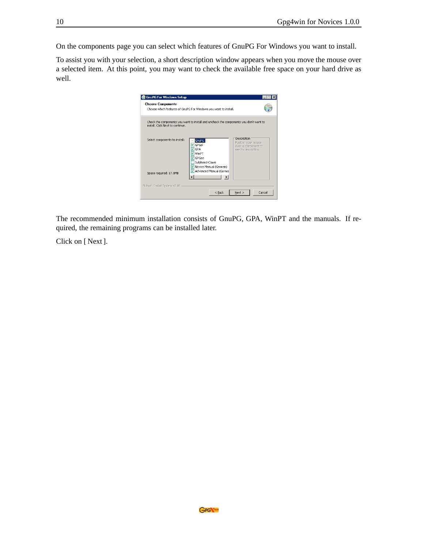On the components page you can select which features of GnuPG For Windows you want to install.

To assist you with your selection, a short description window appears when you move the mouse over a selected item. At this point, you may want to check the available free space on your hard drive as well.



The recommended minimum installation consists of GnuPG, GPA, WinPT and the manuals. If required, the remaining programs can be installed later.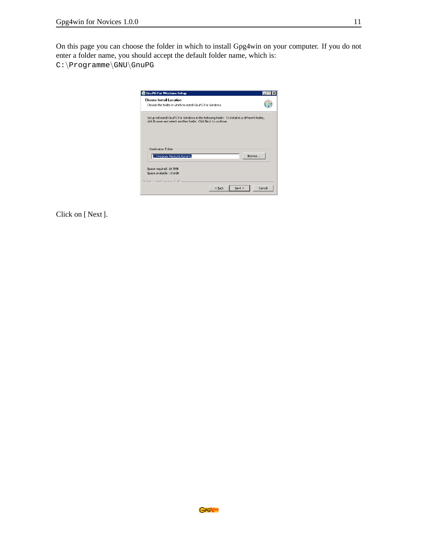On this page you can choose the folder in which to install Gpg4win on your computer. If you do not enter a folder name, you should accept the default folder name, which is: C:\Programme\GNU\GnuPG

| Choose the folder in which to install GouPG Eor Windows.                                        |  |        |
|-------------------------------------------------------------------------------------------------|--|--------|
| Setup will install GnuPG For Windows in the following folder. To install in a different folder, |  |        |
| click Browse and select another folder. Click Next to continue.                                 |  |        |
|                                                                                                 |  |        |
|                                                                                                 |  |        |
| Destination Eolder                                                                              |  |        |
|                                                                                                 |  | Browse |
|                                                                                                 |  |        |
| C:\Program Files\GNU\GnuPG                                                                      |  |        |
| Space required: 18.5MB                                                                          |  |        |
| Space available: 13.6GB                                                                         |  |        |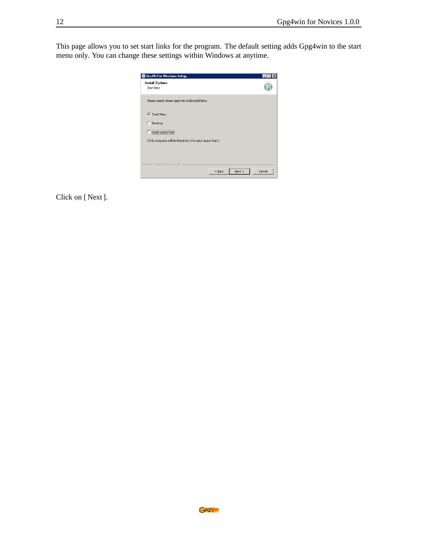This page allows you to set start links for the program. The default setting adds Gpg4win to the start menu only. You can change these settings within Windows at anytime.

| <b>Install Options</b>                                    |  |
|-----------------------------------------------------------|--|
| Start links                                               |  |
| Please select where Gpg4win shall install links:          |  |
| <b>▽</b> Start Menu                                       |  |
| Desktop                                                   |  |
| Quick Launch Bar                                          |  |
| (Only programs will be linked into the quick launch bar.) |  |
|                                                           |  |
|                                                           |  |
| Nullsoft Install System v2,06                             |  |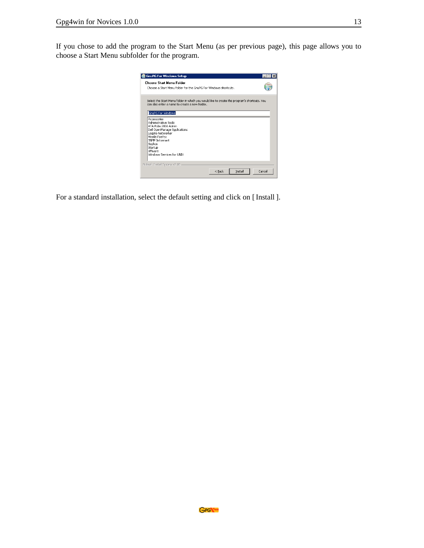If you chose to add the program to the Start Menu (as per previous page), this page allows you to choose a Start Menu subfolder for the program.

| <b>Choose Start Menu Folder</b>                                                                                                              |  |
|----------------------------------------------------------------------------------------------------------------------------------------------|--|
| Choose a Start Menu folder for the GouPG Eor Windows shortcuts.                                                                              |  |
| Select the Start Menu folder in which you would like to create the program's shortcuts. You<br>can also enter a name to create a new folder. |  |
| GnuPG For Windows<br>Accessories                                                                                                             |  |
| Administrative Tools<br>ATA Pubs 2006 Admin                                                                                                  |  |
| Dell OpenManage Applications<br>Legato NetWorker                                                                                             |  |
| Mozilla Firefox<br>SNMP Informant                                                                                                            |  |
| Sophos<br>Startup                                                                                                                            |  |
| <b>VMware</b><br>Windows Services for LINIX                                                                                                  |  |
| Nullsoft Install System v2.06                                                                                                                |  |
|                                                                                                                                              |  |

For a standard installation, select the default setting and click on [ Install ].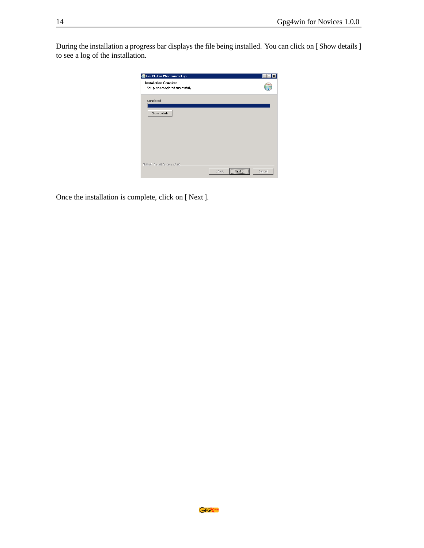During the installation a progress bar displays the file being installed. You can click on [ Show details ] to see a log of the installation.

| <b>G</b> GnuPG For Windows Setup                                  |                                |
|-------------------------------------------------------------------|--------------------------------|
| <b>Installation Complete</b><br>Setup was completed successfully. |                                |
| Completed                                                         |                                |
| Show details                                                      |                                |
|                                                                   |                                |
|                                                                   |                                |
|                                                                   |                                |
| Nullsoft Install System v2.06 -                                   | Next > 1<br>$<$ Back<br>Cancel |

Once the installation is complete, click on [ Next ].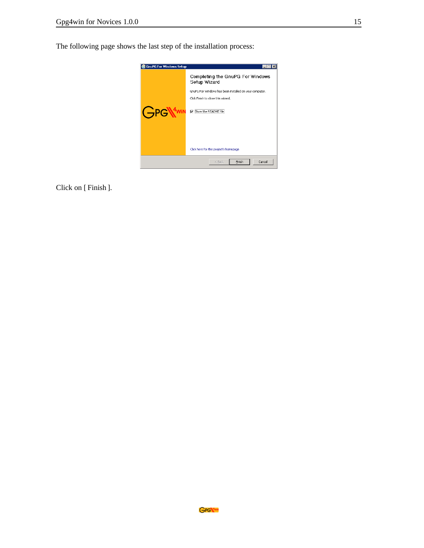The following page shows the last step of the installation process:



Click on [ Finish ].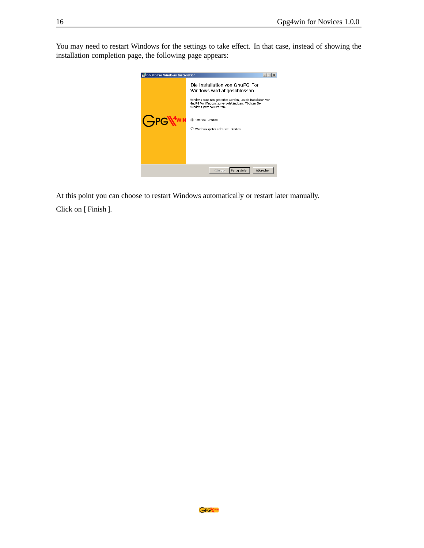You may need to restart Windows for the settings to take effect. In that case, instead of showing the installation completion page, the following page appears:



At this point you can choose to restart Windows automatically or restart later manually. Click on [ Finish ].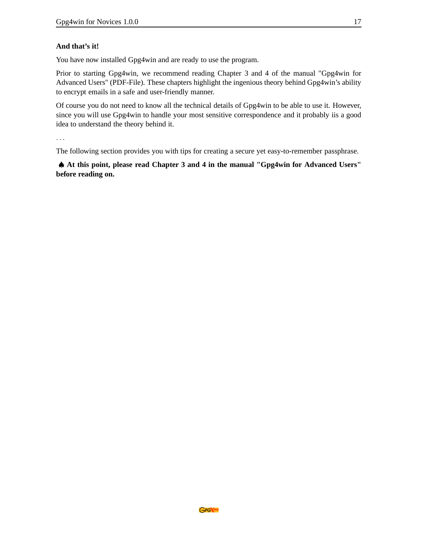#### **And that's it!**

You have now installed Gpg4win and are ready to use the program.

Prior to starting Gpg4win, we recommend reading Chapter 3 and 4 of the manual "Gpg4win for Advanced Users" (PDF-File). These chapters highlight the ingenious theory behind Gpg4win's ability to encrypt emails in a safe and user-friendly manner.

Of course you do not need to know all the technical details of Gpg4win to be able to use it. However, since you will use Gpg4win to handle your most sensitive correspondence and it probably iis a good idea to understand the theory behind it.

...

The following section provides you with tips for creating a secure yet easy-to-remember passphrase.

♠ **At this point, please read Chapter 3 and 4 in the manual "Gpg4win for Advanced Users" before reading on.**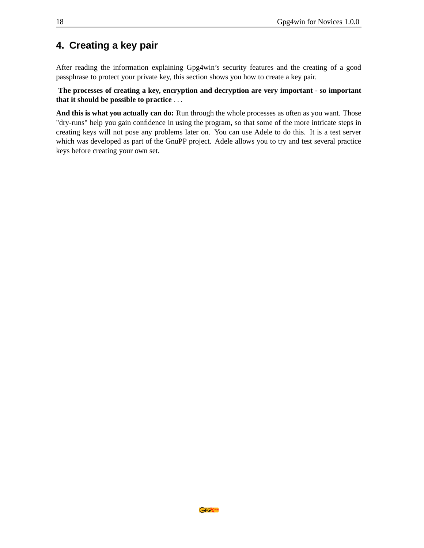### <span id="page-17-0"></span>**4. Creating a key pair**

After reading the information explaining Gpg4win's security features and the creating of a good passphrase to protect your private key, this section shows you how to create a key pair.

**The processes of creating a key, encryption and decryption are very important - so important that it should be possible to practice** ...

**And this is what you actually can do:** Run through the whole processes as often as you want. Those "dry-runs" help you gain confidence in using the program, so that some of the more intricate steps in creating keys will not pose any problems later on. You can use Adele to do this. It is a test server which was developed as part of the GnuPP project. Adele allows you to try and test several practice keys before creating your own set.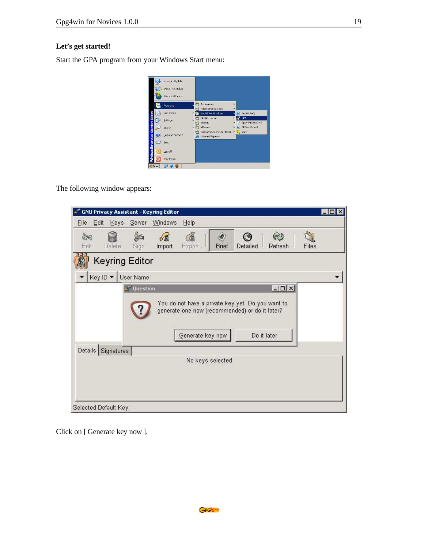#### **Let's get started!**

Start the GPA program from your Windows Start menu:

|         | Windows Catalog  |   |                                                       |        |    |                       |
|---------|------------------|---|-------------------------------------------------------|--------|----|-----------------------|
|         | Windows Update   |   |                                                       |        |    |                       |
| fm      | Programs         | 前 | Accessories<br>Administrative Tools                   | ٠      |    |                       |
|         | Documents        | Þ | GnuPG For Windows                                     | ٠      |    | GnuPG FAO             |
| G       | Settings         | × | Mozilla Firefox<br>Startup                            | ×<br>٠ | ſ. | GPA<br>Gpg4Win README |
|         | Search           | ¥ | VMware                                                |        |    | GPGee Manual          |
| Ø       | Help and Support |   | Windows Services for UNIX<br><b>Internet Explorer</b> |        |    | ▶ SK WinPT            |
| a       | <b>Bun</b>       |   |                                                       |        |    |                       |
| IB.     | Log Off          |   |                                                       |        |    |                       |
| $\circ$ | Shut Down        |   |                                                       |        |    |                       |

The following window appears:

|                       | <b>GNU Privacy Assistant - Keyring Editor</b> |                       |                  |                                                                                                                    | $\blacksquare$ $\blacksquare$ $\times$ |
|-----------------------|-----------------------------------------------|-----------------------|------------------|--------------------------------------------------------------------------------------------------------------------|----------------------------------------|
| Edit<br>Eile          | Keys<br>Server                                | Windows<br>Help       |                  |                                                                                                                    |                                        |
| S.<br>Edit            | Delete<br>Sign                                | 飡<br>Export<br>Import | Brief            | $\omega$<br>Detailed<br>Refresh                                                                                    | Files                                  |
|                       | <b>Keyring Editor</b>                         |                       |                  |                                                                                                                    |                                        |
|                       | Key ID ▼ User Name                            |                       |                  |                                                                                                                    |                                        |
|                       | Details Signatures                            | Generate key now      |                  | You do not have a private key yet. Do you want to<br>generate one now (recommended) or do it later?<br>Do it later |                                        |
| Selected Default Key: |                                               |                       | No keys selected |                                                                                                                    |                                        |

Click on [ Generate key now ].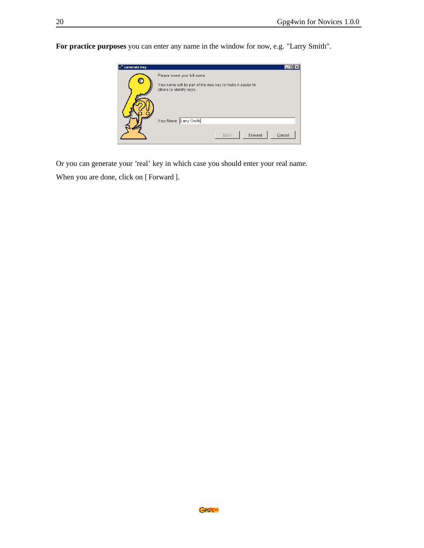**For practice purposes** you can enter any name in the window for now, e.g. "Larry Smith".



Or you can generate your 'real' key in which case you should enter your real name.

When you are done, click on [ Forward ].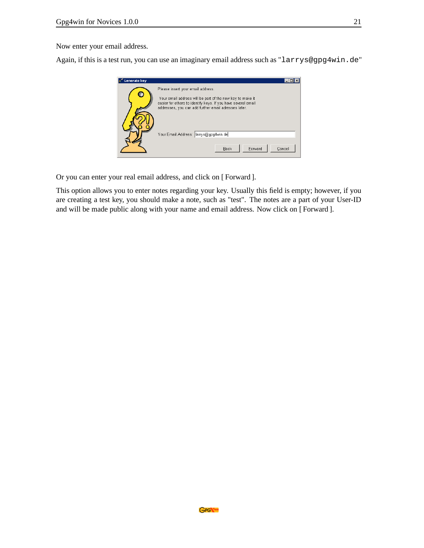Now enter your email address.

Again, if this is a test run, you can use an imaginary email address such as "larrys@gpg4win.de"



Or you can enter your real email address, and click on [ Forward ].

This option allows you to enter notes regarding your key. Usually this field is empty; however, if you are creating a test key, you should make a note, such as "test". The notes are a part of your User-ID and will be made public along with your name and email address. Now click on [ Forward ].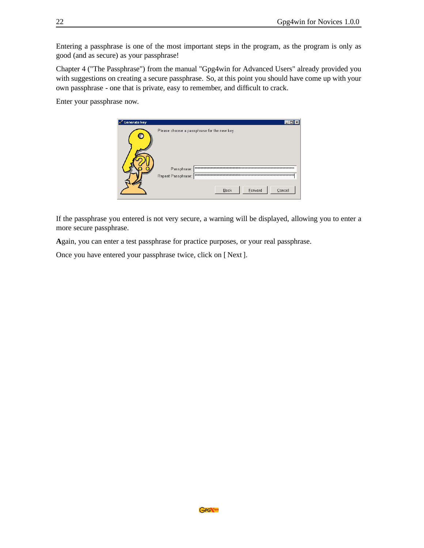Entering a passphrase is one of the most important steps in the program, as the program is only as good (and as secure) as your passphrase!

Chapter 4 ("The Passphrase") from the manual "Gpg4win for Advanced Users" already provided you with suggestions on creating a secure passphrase. So, at this point you should have come up with your own passphrase - one that is private, easy to remember, and difficult to crack.

Enter your passphrase now.



If the passphrase you entered is not very secure, a warning will be displayed, allowing you to enter a more secure passphrase.

**A**gain, you can enter a test passphrase for practice purposes, or your real passphrase.

Once you have entered your passphrase twice, click on [ Next ].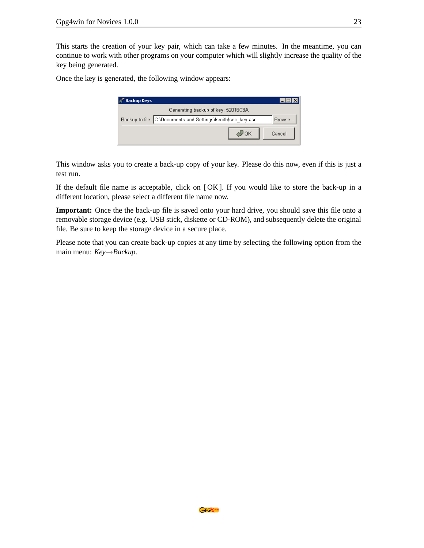This starts the creation of your key pair, which can take a few minutes. In the meantime, you can continue to work with other programs on your computer which will slightly increase the quality of the key being generated.

Once the key is generated, the following window appears:

| <b>Backup Keys</b> |                                                              |        |
|--------------------|--------------------------------------------------------------|--------|
|                    | Generating backup of key: 52016C3A                           |        |
|                    | Backup to file: C:\Documents and Settings\lsmith\sec_key.asc | Browse |
|                    |                                                              | Cancel |

This window asks you to create a back-up copy of your key. Please do this now, even if this is just a test run.

If the default file name is acceptable, click on [ OK ]. If you would like to store the back-up in a different location, please select a different file name now.

**Important:** Once the the back-up file is saved onto your hard drive, you should save this file onto a removable storage device (e.g. USB stick, diskette or CD-ROM), and subsequently delete the original file. Be sure to keep the storage device in a secure place.

Please note that you can create back-up copies at any time by selecting the following option from the main menu: *Key*→*Backup*.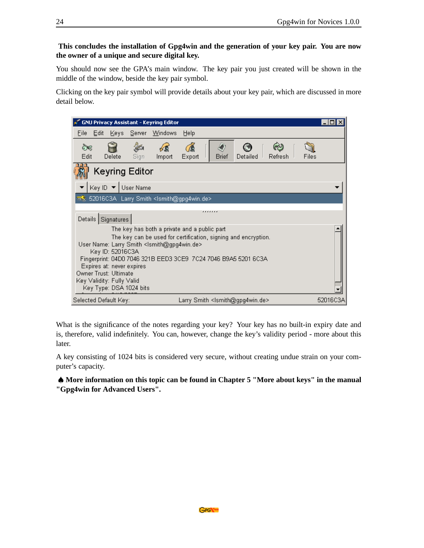#### **This concludes the installation of Gpg4win and the generation of your key pair. You are now the owner of a unique and secure digital key.**

You should now see the GPA's main window. The key pair you just created will be shown in the middle of the window, beside the key pair symbol.

Clicking on the key pair symbol will provide details about your key pair, which are discussed in more detail below.

|                                                                                                                                                                                                                                                                                                                                                                                            |        |                    | <b>GNU Privacy Assistant - Keyring Editor</b>                   |        |   |       |                                                     |         |       |          |
|--------------------------------------------------------------------------------------------------------------------------------------------------------------------------------------------------------------------------------------------------------------------------------------------------------------------------------------------------------------------------------------------|--------|--------------------|-----------------------------------------------------------------|--------|---|-------|-----------------------------------------------------|---------|-------|----------|
| File<br>Edit                                                                                                                                                                                                                                                                                                                                                                               | Keys I | Server             | <b>Windows</b>                                                  | Help   |   |       |                                                     |         |       |          |
| ò€<br>Edit                                                                                                                                                                                                                                                                                                                                                                                 | Delete | Sign               | Import                                                          | Export |   | Brief | Detailed                                            | Refresh | Files |          |
| <b>Keyring Editor</b>                                                                                                                                                                                                                                                                                                                                                                      |        |                    |                                                                 |        |   |       |                                                     |         |       |          |
|                                                                                                                                                                                                                                                                                                                                                                                            |        | Key ID ▼ User Name |                                                                 |        |   |       |                                                     |         |       |          |
|                                                                                                                                                                                                                                                                                                                                                                                            |        |                    | ≅े 52016C3A Larry Smith <ismith@gpg4win.de></ismith@gpg4win.de> |        |   |       |                                                     |         |       |          |
|                                                                                                                                                                                                                                                                                                                                                                                            |        |                    |                                                                 |        | . |       |                                                     |         |       |          |
| Details Signatures                                                                                                                                                                                                                                                                                                                                                                         |        |                    |                                                                 |        |   |       |                                                     |         |       |          |
| The key has both a private and a public part<br>The key can be used for certification, signing and encryption.<br>User Name: Larry Smith <lsmith@gpg4win.de><br/>Key ID: 52016C3A<br/>Fingerprint: 04D0 7046 321B EED3 3CE9 7C24 7046 B9A5 5201 6C3A<br/>Expires at: never expires<br/>Owner Trust: Ultimate<br/>Key Validity: Fully Valid<br/>Key Type: DSA 1024 bits</lsmith@gpg4win.de> |        |                    |                                                                 |        |   |       |                                                     |         |       |          |
| Selected Default Key:                                                                                                                                                                                                                                                                                                                                                                      |        |                    |                                                                 |        |   |       | Larry Smith <ismith@gpg4win.de></ismith@gpg4win.de> |         |       | 52016C3A |

What is the significance of the notes regarding your key? Your key has no built-in expiry date and is, therefore, valid indefinitely. You can, however, change the key's validity period - more about this later.

A key consisting of 1024 bits is considered very secure, without creating undue strain on your computer's capacity.

♠ **More information on this topic can be found in Chapter 5 "More about keys" in the manual "Gpg4win for Advanced Users".**

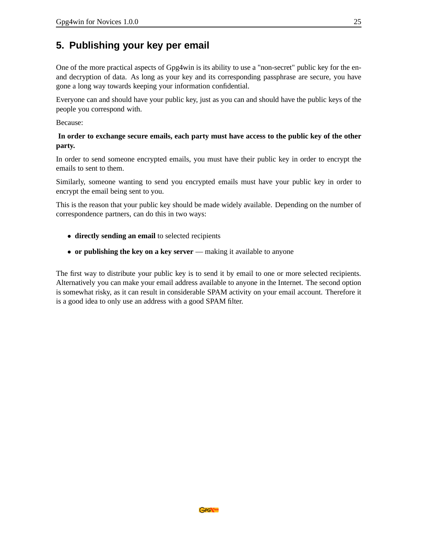### <span id="page-24-0"></span>**5. Publishing your key per email**

One of the more practical aspects of Gpg4win is its ability to use a "non-secret" public key for the enand decryption of data. As long as your key and its corresponding passphrase are secure, you have gone a long way towards keeping your information confidential.

Everyone can and should have your public key, just as you can and should have the public keys of the people you correspond with.

Because:

#### **In order to exchange secure emails, each party must have access to the public key of the other party.**

In order to send someone encrypted emails, you must have their public key in order to encrypt the emails to sent to them.

Similarly, someone wanting to send you encrypted emails must have your public key in order to encrypt the email being sent to you.

This is the reason that your public key should be made widely available. Depending on the number of correspondence partners, can do this in two ways:

- **directly sending an email** to selected recipients
- **or publishing the key on a key server** making it available to anyone

The first way to distribute your public key is to send it by email to one or more selected recipients. Alternatively you can make your email address available to anyone in the Internet. The second option is somewhat risky, as it can result in considerable SPAM activity on your email account. Therefore it is a good idea to only use an address with a good SPAM filter.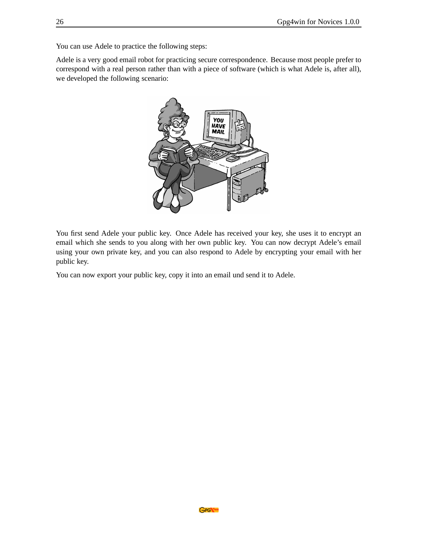You can use Adele to practice the following steps:

Adele is a very good email robot for practicing secure correspondence. Because most people prefer to correspond with a real person rather than with a piece of software (which is what Adele is, after all), we developed the following scenario:



You first send Adele your public key. Once Adele has received your key, she uses it to encrypt an email which she sends to you along with her own public key. You can now decrypt Adele's email using your own private key, and you can also respond to Adele by encrypting your email with her public key.

You can now export your public key, copy it into an email und send it to Adele.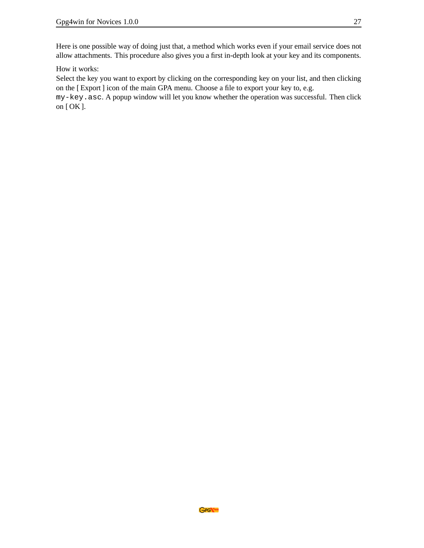Here is one possible way of doing just that, a method which works even if your email service does not allow attachments. This procedure also gives you a first in-depth look at your key and its components.

How it works:

Select the key you want to export by clicking on the corresponding key on your list, and then clicking on the [ Export ] icon of the main GPA menu. Choose a file to export your key to, e.g.

my-key.asc. A popup window will let you know whether the operation was successful. Then click on [ OK ].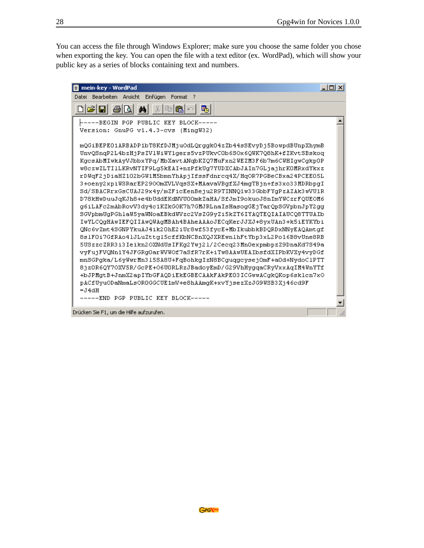You can access the file through Windows Explorer; make sure you choose the same folder you chose when exporting the key. You can open the file with a text editor (ex. WordPad), which will show your public key as a series of blocks containing text and numbers.

| 冒 mein-key - WordPad                                                                                                                                                                                                                                                                                                                                                                                                                                                                                                                                                                                                                                                                                                                                                                                                                                                                                                                                                                                                                                                                                                                                                                                                                                                                                                                                 | $   \Box   \times  $ |
|------------------------------------------------------------------------------------------------------------------------------------------------------------------------------------------------------------------------------------------------------------------------------------------------------------------------------------------------------------------------------------------------------------------------------------------------------------------------------------------------------------------------------------------------------------------------------------------------------------------------------------------------------------------------------------------------------------------------------------------------------------------------------------------------------------------------------------------------------------------------------------------------------------------------------------------------------------------------------------------------------------------------------------------------------------------------------------------------------------------------------------------------------------------------------------------------------------------------------------------------------------------------------------------------------------------------------------------------------|----------------------|
| Datei Bearbeiten Ansicht Einfügen<br>Format ?                                                                                                                                                                                                                                                                                                                                                                                                                                                                                                                                                                                                                                                                                                                                                                                                                                                                                                                                                                                                                                                                                                                                                                                                                                                                                                        |                      |
| ģ4,<br>喝                                                                                                                                                                                                                                                                                                                                                                                                                                                                                                                                                                                                                                                                                                                                                                                                                                                                                                                                                                                                                                                                                                                                                                                                                                                                                                                                             |                      |
| -----BEGIN PGP PUBLIC KEY BLOCK-----<br>Version: GnuPG v1.4.3-cvs (MingW32)                                                                                                                                                                                                                                                                                                                                                                                                                                                                                                                                                                                                                                                                                                                                                                                                                                                                                                                                                                                                                                                                                                                                                                                                                                                                          |                      |
| mQGiBEPEO1ARBADP1bT8KfDJMjuOdLQrqqkO4zZb44sSEvvDj5BowpdBUnpXhymB<br>UnvQSnqP2L4bzHjPsIV1UiUY1qers5vzPUkvCOb6SOx6QUK7Q8hK+fZKvtSBskoq<br>KgcsAbMIwkAyVJbbxYPg/MbXavtANgbKZQ7MuFxn2WEZM3F6b7m6CWHIgwCgkpOP<br>w8czwZLTI1LKRvNTIF9Lq5kEAI+nzPfkUq7YUDXCAbJAIn7GLjajhrKOMRxdYkxz<br>rDWgF2jDiaHZ102bGW1M5bmnYhApjIfssFdnrcq4X/HqOR7PGBeCBxa24PCEE05L<br>3+oenv2xpiWSRarEP2900mXVLVqsSX+MAavaVBqfXJ4mqTBjn+fs3xo33MDRbpqI<br>Sd/SBACRrxGsCUAJ29x4y/mZFicEenBeju2R9TINNQ1w33GbbFYqPzAZAk3wVU1R<br>D78kHwDuuJqKJh8+e4bUddEKdNVU00mkZaHA/SfJmI9okuoJ8nImYWCzrFQUEOM6<br>g6iLAFc2mAbRovV3dy4c1KZkGOK7h7GMJRLnaIsHasogGEjTarQpSGVpbnJpY2gg<br>SGVpbmUqPGhlaW5yaWNoaEBkdWVzc2VsZG9yZi5kZT6IYAQTEQIAIAUCQ8TTUAIb<br>IwYLCQqHAwIEFQIIAwQWAqMBAh4BAheAAAoJECqKerJJXJ+8yxUAn3+k5iEYKYbi<br>QNc6vZmt4SGNPYkuAJ4ik2OhE2iUr8wf53fycE+MbIkubbkBDQRDxNNyEAQAmtgf<br>8s1F0i7GfRAo41JLuZttq15cffKbNCBnXQJXREwn1hFtYbp3xL2Po16B8vUne8RB<br>5USzzcZRR3i3Ieikn2OXNdUsIFKg2Ywj21/2Cecq23Mn0expmbpzZ9DnaKd7S49a<br>vyFujFVQNn1Y4JFGRq0arWVWOf7aSfR7rK+iTw8AAwUEAIbsfdXIPbKVXy4vyDGf<br>mnSGPqka/L6vWwrMn315SA8U+FqBohkqIzN8BCquqqcvsejOmF+aOd+NvdoC1PTT<br>8jz0R6QY7OXV5R/GcPE+O6U0RLRzJBadoyEmD/G29VhHyqqaCRyVxxAqIM4WnYTf<br>+bJPMqtB+JnmX2apIYbGFAQDiEkEGBECAAkFAkPE03ICGwwACqkQKop6sk1cn7xO<br>pACfUyuODaNmaLsOROGGCUE1mV+e8hAAmgK+xvYjsezXzJG9WSB3Xj46cd9F<br>$=$ J $4$ dH |                      |
| -----END PGP PUBLIC KEY BLOCK-----                                                                                                                                                                                                                                                                                                                                                                                                                                                                                                                                                                                                                                                                                                                                                                                                                                                                                                                                                                                                                                                                                                                                                                                                                                                                                                                   |                      |
| Drücken Sie F1, um die Hilfe aufzurufen.                                                                                                                                                                                                                                                                                                                                                                                                                                                                                                                                                                                                                                                                                                                                                                                                                                                                                                                                                                                                                                                                                                                                                                                                                                                                                                             |                      |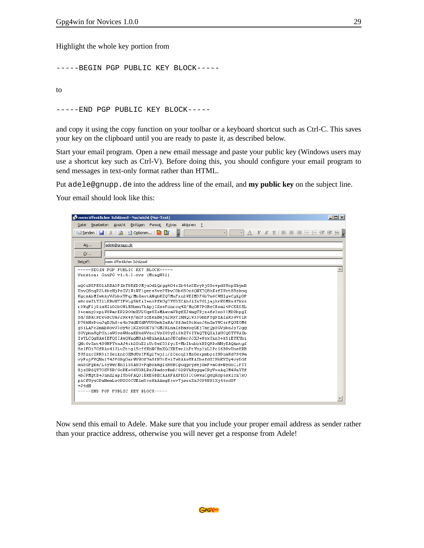Highlight the whole key portion from

-----BEGIN PGP PUBLIC KEY BLOCK-----

to

-----END PGP PUBLIC KEY BLOCK-----

and copy it using the copy function on your toolbar or a keyboard shortcut such as Ctrl-C. This saves your key on the clipboard until you are ready to paste it, as described below.

Start your email program. Open a new email message and paste your public key (Windows users may use a shortcut key such as Ctrl-V). Before doing this, you should configure your email program to send messages in text-only format rather than HTML.

Put adele@gnupp.de into the address line of the email, and **my public key** on the subject line.

Your email should look like this:

| mein öffentlicher Schlüssel - Nachricht (Nur-Text)                                                                                                     | $-12X$ |
|--------------------------------------------------------------------------------------------------------------------------------------------------------|--------|
| Einfügen<br>Bearbeiten Ansicht<br>Format<br>Aktionen ?<br>Datei<br>Extras                                                                              |        |
| H<br>$\mathbf{A}$   F K U   E = = E = E = F $\mathbf{F}$ $\mathbf{F}$ = $\mathbf{F}$<br>Ħ<br>щ<br>: Optionen<br>I X<br>El Senden<br>∼∥<br>$\mathbb{Z}$ |        |
| adele@gnupp.de<br>An                                                                                                                                   |        |
| Cc                                                                                                                                                     |        |
|                                                                                                                                                        |        |
| mein öffentlicher Schlüssel<br>Betreff:                                                                                                                |        |
| -----BEGIN PGP PUBLIC KEY BLOCK-----                                                                                                                   |        |
| Version: GnuPG v1.4.3-cvs (MingW32)                                                                                                                    |        |
|                                                                                                                                                        |        |
| mQGiBEPEO1ARBADP1bT8KfDJMjuOdLQrqqk04zZb44sSEvvDj5BowpdBUnpXhymB<br>UnvQSnqP2L4bzHjPsIV1UiWY1qers5vzPUkvCOb6SOx6QWK7Q8hK+fZKvtSBskoq                   |        |
| KgcsAbMIwkAyVJbbxYPq/MbXavtANqbKZQ7MuFxn2WEZM3F6b7m6CWHIqwCqkpOP                                                                                       |        |
| w8czwZLTI1LKRvNTIF9Lq5kEAI+nzPfkUq7YUDXCAbJAIn7GLjajhrKOMRxdYkxz                                                                                       |        |
| rDWgF2jDiaHZ102bGW1M5bmnYhApjIfssFdnrcg4X/HgOR7PGBeCBxa24PCEE05L                                                                                       |        |
| 3+oeny2xpiWSRarEP2900mXVLVqsSX+MAavaVBqfXJ4mqTBjn+fs3xo33MDRbpqI                                                                                       |        |
| Sd/SBACRrxGsCUAJ29x4v/mZFicEenBeju2R9TINNQ1w33GbbFYqPzAZAk3wVU1R                                                                                       |        |
| D78kHwDuuJqKJh8+e4bUddEKdNVU00mkZaHA/SfJmI9okuoJ8nImYWCzrFQUEOM6                                                                                       |        |
| g6iLAFc2mAbRovV3dy4c1KZkGOK7h7GMJRLnaIsHasogGEjTarQpSGVpbnJpY2gg                                                                                       |        |
| SGVpbmUqPGhlaW5yaWNoaEBkdWVzc2VsZG9yZi5kZT6IYAQTEQIAIAUCQ8TTUAIb                                                                                       |        |
| IwYLCQqHAwIEFQIIAwQWAqMBAh4BAheAAAoJECqKerJJXJ+8vxUAn3+k5iEYKYbi                                                                                       |        |
| QNc6vZmt4SGNPYkuAJ4ik2OhE2iUr8wf53fycE+MbIkubbkBDQRDxNNyEAQAmtgf                                                                                       |        |
| 8s1F0i7GfRAo41JLuZttq15cffKbNCBnXQJXREwn1hFtYbp3xL2Po16B8vUne8RB                                                                                       |        |
| 5USzzcZRR3i3Ieikn2OXNdUsIFKq2Ywj21/2Cecq23Mn0expmbpzZ9DnaKd7S49a                                                                                       |        |
| vyFujFVQNn1Y4JFGRq0arWVWOf7aSfR7rK+iTw8AAwUEAIbsfdXIPbKVXy4vyDGf                                                                                       |        |
| mnSGPqka/L6yWwrMn315SA8U+FqBohkqIzN8BCquqqcysej0mF+a0d+NydoC1PTT                                                                                       |        |
| 8jz0R6QY7OXV5R/GcPE+O6U0RLRzJBadovEmD/G29VhHvqqaCRvVxxAqIM4WnYTf                                                                                       |        |
| +bJPMqtB+JnmX2apIYbGFAQDiEkEGBECAAkFAkPE03ICGwwACqkQKop6sk1cn7xO                                                                                       |        |
| pACfUyuODaNmaLsOROGGCUE1mV+e8hAAmqK+xvYjsezXzJG9WSB3Xj46cd9F                                                                                           |        |
| $=J4dH$                                                                                                                                                |        |
| -----END PGP PUBLIC KEY BLOCK-----                                                                                                                     |        |
|                                                                                                                                                        |        |

Now send this email to Adele. Make sure that you include your proper email address as sender rather than your practice address, otherwise you will never get a response from Adele!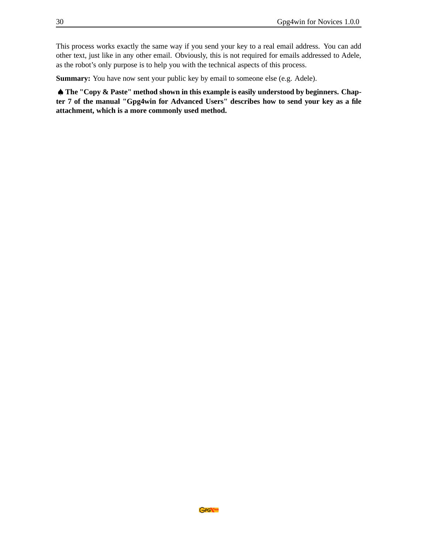This process works exactly the same way if you send your key to a real email address. You can add other text, just like in any other email. Obviously, this is not required for emails addressed to Adele, as the robot's only purpose is to help you with the technical aspects of this process.

**Summary:** You have now sent your public key by email to someone else (e.g. Adele).

♠ **The "Copy & Paste" method shown in this example is easily understood by beginners. Chapter 7 of the manual "Gpg4win for Advanced Users" describes how to send your key as a file attachment, which is a more commonly used method.**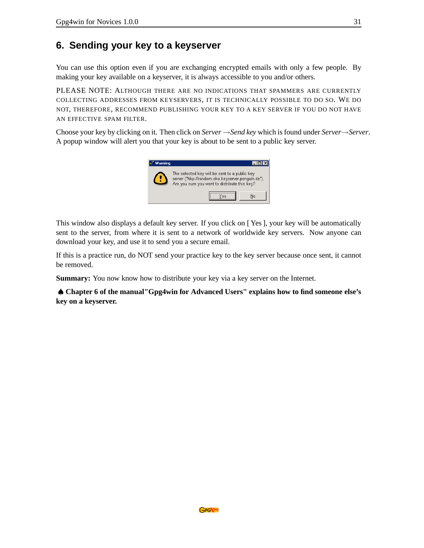### <span id="page-30-0"></span>**6. Sending your key to a keyserver**

You can use this option even if you are exchanging encrypted emails with only a few people. By making your key available on a keyserver, it is always accessible to you and/or others.

PLEASE NOTE: ALTHOUGH THERE ARE NO INDICATIONS THAT SPAMMERS ARE CURRENTLY COLLECTING ADDRESSES FROM KEYSERVERS, IT IS TECHNICALLY POSSIBLE TO DO SO. WE DO NOT, THEREFORE, RECOMMEND PUBLISHING YOUR KEY TO A KEY SERVER IF YOU DO NOT HAVE AN EFFECTIVE SPAM FILTER.

Choose your key by clicking on it. Then click on *Server* →*Send key* which is found under *Server*→*Server*. A popup window will alert you that your key is about to be sent to a public key server.



This window also displays a default key server. If you click on [ Yes ], your key will be automatically sent to the server, from where it is sent to a network of worldwide key servers. Now anyone can download your key, and use it to send you a secure email.

If this is a practice run, do NOT send your practice key to the key server because once sent, it cannot be removed.

**Summary:** You now know how to distribute your key via a key server on the Internet.

♠ **Chapter 6 of the manual"Gpg4win for Advanced Users" explains how to find someone else's key on a keyserver.**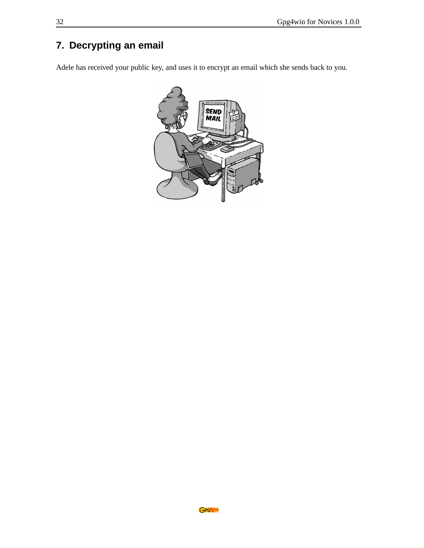# <span id="page-31-0"></span>**7. Decrypting an email**

Adele has received your public key, and uses it to encrypt an email which she sends back to you.

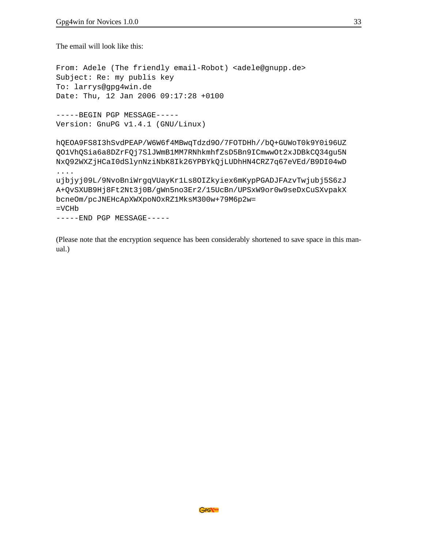The email will look like this:

From: Adele (The friendly email-Robot) <adele@gnupp.de> Subject: Re: my publis key To: larrys@gpg4win.de Date: Thu, 12 Jan 2006 09:17:28 +0100 -----BEGIN PGP MESSAGE----- Version: GnuPG v1.4.1 (GNU/Linux)

hQEOA9FS8I3hSvdPEAP/W6W6f4MBwqTdzd9O/7FOTDHh//bQ+GUWoT0k9Y0i96UZ QO1VhQSia6a8DZrFQj7SlJWmB1MM7RNhkmhfZsD5Bn9ICmwwOt2xJDBkCQ34gu5N NxQ92WXZjHCaI0dSlynNziNbK8Ik26YPBYkQjLUDhHN4CRZ7q67eVEd/B9DI04wD ....

ujbjyj09L/9NvoBniWrgqVUayKr1Ls8OIZkyiex6mKypPGADJFAzvTwjubj5S6zJ A+QvSXUB9Hj8Ft2Nt3j0B/gWn5no3Er2/15UcBn/UPSxW9or0w9seDxCuSXvpakX bcneOm/pcJNEHcApXWXpoNOxRZ1MksM300w+79M6p2w= =VCHb

-----END PGP MESSAGE-----

(Please note that the encryption sequence has been considerably shortened to save space in this manual.)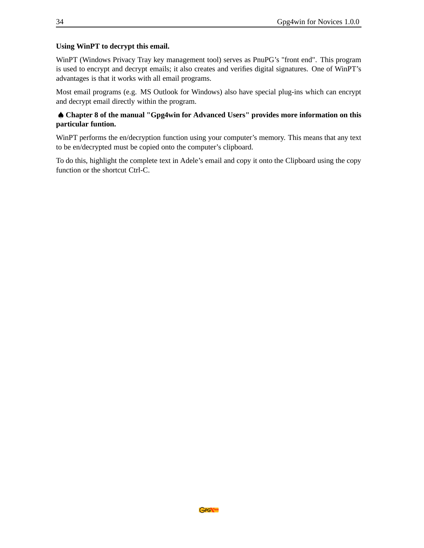#### **Using WinPT to decrypt this email.**

WinPT (Windows Privacy Tray key management tool) serves as PnuPG's "front end". This program is used to encrypt and decrypt emails; it also creates and verifies digital signatures. One of WinPT's advantages is that it works with all email programs.

Most email programs (e.g. MS Outlook for Windows) also have special plug-ins which can encrypt and decrypt email directly within the program.

#### ♠ **Chapter 8 of the manual "Gpg4win for Advanced Users" provides more information on this particular funtion.**

WinPT performs the en/decryption function using your computer's memory. This means that any text to be en/decrypted must be copied onto the computer's clipboard.

To do this, highlight the complete text in Adele's email and copy it onto the Clipboard using the copy function or the shortcut Ctrl-C.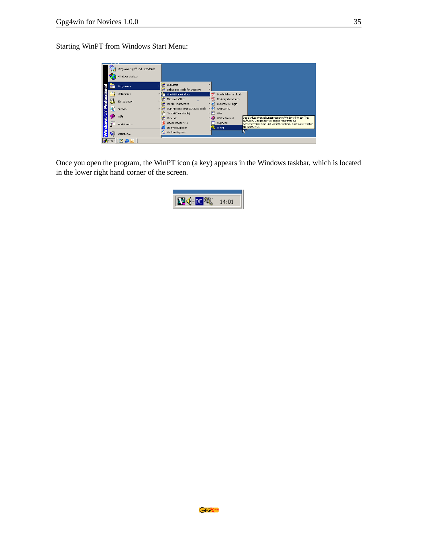Starting WinPT from Windows Start Menu:

| Programmzugriff und -standards |            |                                         |                                                                                                     |                                        |                                                                                                                                         |
|--------------------------------|------------|-----------------------------------------|-----------------------------------------------------------------------------------------------------|----------------------------------------|-----------------------------------------------------------------------------------------------------------------------------------------|
| Windows Update                 |            |                                         |                                                                                                     |                                        |                                                                                                                                         |
| Programme                      | G          | Autostart                               |                                                                                                     |                                        |                                                                                                                                         |
| Dokumente                      | ÷          |                                         |                                                                                                     | Durchblickerhandbuch                   |                                                                                                                                         |
| Einstellungen                  | 局<br>أبيرا | Microsoft Office<br>Mozilla Thunderbird | ᅑ<br>٠                                                                                              | Einsteigerhandbuch<br>EudoraGPG Plugin |                                                                                                                                         |
| Suchen                         | اسا        | SCM Microsystems SCR33xx Tools          |                                                                                                     |                                        |                                                                                                                                         |
| Hilfe                          | ÷          | Zubehör                                 |                                                                                                     | GPGee Manual                           | Das Schlüsselverwaltungsprogramm Windows Privacy Tray                                                                                   |
| Ausführen                      | e          | Adobe Reader 7.0                        |                                                                                                     | Sylpheed<br>WinPT                      | aufrufen. Dies ist ein vielseitiges Programm zur<br>Schlüsselverwaltung und Verschlüsselung. Es installiert sich in<br>die Startleiste. |
| Beenden                        | 島          | Outlook Express                         |                                                                                                     |                                        |                                                                                                                                         |
|                                |            | umi<br>u.                               | Debugging Tools for Windows<br><b>GnuPG For Windows</b><br>TightVNC (unstable)<br>Internet Explorer |                                        | 쳐<br>番<br>GnuPG FAO<br>▸<br>GPA<br>ø                                                                                                    |

Once you open the program, the WinPT icon (a key) appears in the Windows taskbar, which is located in the lower right hand corner of the screen.

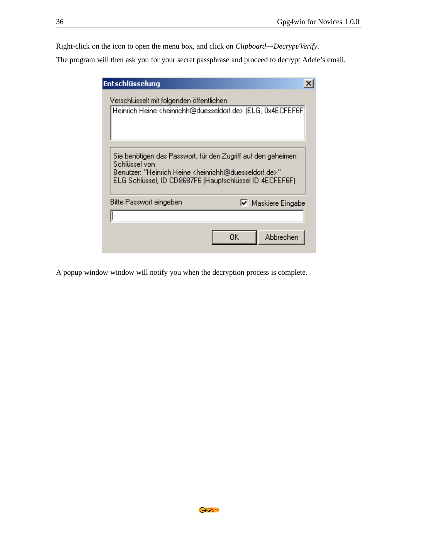Right-click on the icon to open the menu box, and click on *Clipboard*→*Decrypt/Verify*.

The program will then ask you for your secret passphrase and proceed to decrypt Adele's email.

| Entschlüsselung                                                                                   |                                                                                                                         |
|---------------------------------------------------------------------------------------------------|-------------------------------------------------------------------------------------------------------------------------|
| Verschlüsselt mit folgenden öffentlichen                                                          | Heinrich Heine <heinrichh@duesseldorf.de> (ELG, 0x4ECFEF6F)</heinrichh@duesseldorf.de>                                  |
| Schlüssel von<br>Benutzer: "Heinrich Heine <heinrichh@duesseldorf.de>"</heinrichh@duesseldorf.de> | Sie benötigen das Passwort, für den Zugriff auf den geheimen<br>ELG Schlüssel, ID CD8687F6 (Hauptschlüssel ID 4ECFEF6F) |
| Bitte Passwort eingeben                                                                           | Ⅳ Maskiere Eingabe                                                                                                      |
|                                                                                                   | Abbrechen<br>OΚ                                                                                                         |

A popup window window will notify you when the decryption process is complete.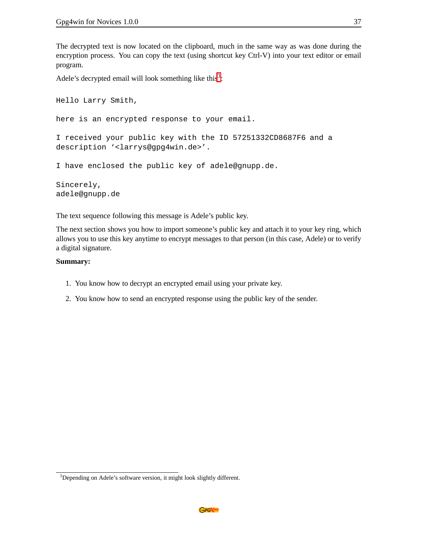The decrypted text is now located on the clipboard, much in the same way as was done during the encryption process. You can copy the text (using shortcut key Ctrl-V) into your text editor or email program.

Adele's decrypted email will look something like this<sup>[3](#page-36-0)</sup>:

Hello Larry Smith, here is an encrypted response to your email. I received your public key with the ID 57251332CD8687F6 and a description '<larrys@gpg4win.de>'. I have enclosed the public key of adele@gnupp.de. Sincerely, adele@gnupp.de

The text sequence following this message is Adele's public key.

The next section shows you how to import someone's public key and attach it to your key ring, which allows you to use this key anytime to encrypt messages to that person (in this case, Adele) or to verify a digital signature.

#### **Summary:**

- 1. You know how to decrypt an encrypted email using your private key.
- 2. You know how to send an encrypted response using the public key of the sender.

<span id="page-36-0"></span><sup>&</sup>lt;sup>3</sup>Depending on Adele's software version, it might look slightly different.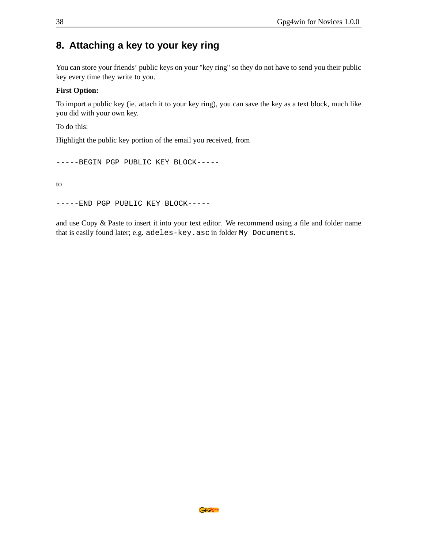### <span id="page-37-0"></span>**8. Attaching a key to your key ring**

You can store your friends' public keys on your "key ring" so they do not have to send you their public key every time they write to you.

#### **First Option:**

To import a public key (ie. attach it to your key ring), you can save the key as a text block, much like you did with your own key.

To do this:

Highlight the public key portion of the email you received, from

-----BEGIN PGP PUBLIC KEY BLOCK-----

to

-----END PGP PUBLIC KEY BLOCK-----

and use Copy & Paste to insert it into your text editor. We recommend using a file and folder name that is easily found later; e.g. adeles-key.asc in folder My Documents.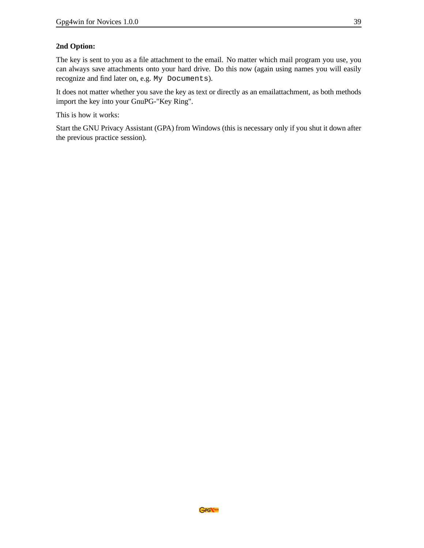#### **2nd Option:**

The key is sent to you as a file attachment to the email. No matter which mail program you use, you can always save attachments onto your hard drive. Do this now (again using names you will easily recognize and find later on, e.g. My Documents).

It does not matter whether you save the key as text or directly as an emailattachment, as both methods import the key into your GnuPG-"Key Ring".

This is how it works:

Start the GNU Privacy Assistant (GPA) from Windows (this is necessary only if you shut it down after the previous practice session).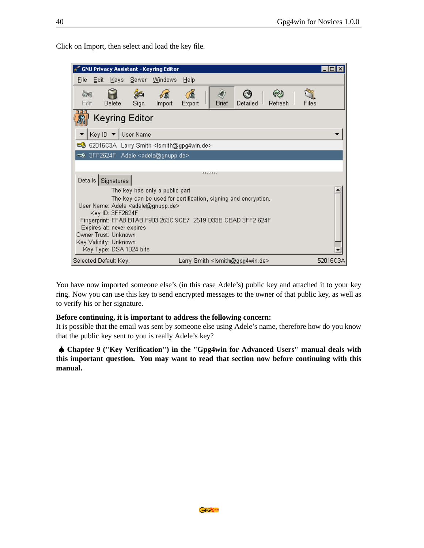| GNU Privacy Assistant - Keyring Editor                                                                                                                                                                                                                                                                                    |                                |              |       |                                                     |       | $ \Box$ $\times$ |
|---------------------------------------------------------------------------------------------------------------------------------------------------------------------------------------------------------------------------------------------------------------------------------------------------------------------------|--------------------------------|--------------|-------|-----------------------------------------------------|-------|------------------|
| Eile<br>Edit<br>Server<br>Κeγs Ι                                                                                                                                                                                                                                                                                          | <b>Windows</b>                 | Help         |       |                                                     |       |                  |
| E HE.<br>Sign<br>Edit<br>Delete                                                                                                                                                                                                                                                                                           | z.<br>Import                   | í.<br>Export | Brief | Detailed<br>Refresh                                 | Files |                  |
| <b>Keyring Editor</b>                                                                                                                                                                                                                                                                                                     |                                |              |       |                                                     |       |                  |
| Key ID ▼ User Name                                                                                                                                                                                                                                                                                                        |                                |              |       |                                                     |       |                  |
| 69 52016C3A Larry Smith <lsmith@gpg4win.de></lsmith@gpg4win.de>                                                                                                                                                                                                                                                           |                                |              |       |                                                     |       |                  |
| 3FF2624F Adele <adele@gnupp.de></adele@gnupp.de>                                                                                                                                                                                                                                                                          |                                |              |       |                                                     |       |                  |
|                                                                                                                                                                                                                                                                                                                           |                                |              |       |                                                     |       |                  |
| Details   Signatures                                                                                                                                                                                                                                                                                                      |                                | .            |       |                                                     |       |                  |
|                                                                                                                                                                                                                                                                                                                           | The key has only a public part |              |       |                                                     |       |                  |
| The key can be used for certification, signing and encryption.<br>User Name: Adele <adele@gnupp.de><br/>Key ID: 3FF2624F<br/>Fingerprint: FFA8 B1AB F903 253C 9CE7 2519 D33B CBAD 3FF2 624F<br/>Expires at: never expires<br/>Owner Trust: Unknown<br/>Key Validity: Unknown<br/>Key Type: DSA 1024 bits</adele@gnupp.de> |                                |              |       |                                                     |       |                  |
| Selected Default Key:                                                                                                                                                                                                                                                                                                     |                                |              |       | Larry Smith <ismith@gpg4win.de></ismith@gpg4win.de> |       | 52016C3A         |

Click on Import, then select and load the key file.

You have now imported someone else's (in this case Adele's) public key and attached it to your key ring. Now you can use this key to send encrypted messages to the owner of that public key, as well as to verify his or her signature.

#### **Before continuing, it is important to address the following concern:**

It is possible that the email was sent by someone else using Adele's name, therefore how do you know that the public key sent to you is really Adele's key?

♠ **Chapter 9 ("Key Verification") in the "Gpg4win for Advanced Users" manual deals with this important question. You may want to read that section now before continuing with this manual.**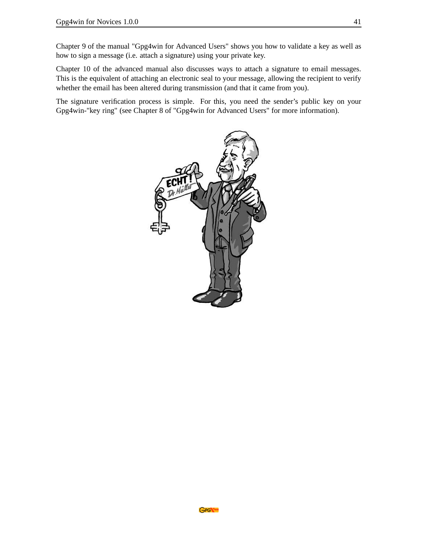Chapter 9 of the manual "Gpg4win for Advanced Users" shows you how to validate a key as well as how to sign a message (i.e. attach a signature) using your private key.

Chapter 10 of the advanced manual also discusses ways to attach a signature to email messages. This is the equivalent of attaching an electronic seal to your message, allowing the recipient to verify whether the email has been altered during transmission (and that it came from you).

The signature verification process is simple. For this, you need the sender's public key on your Gpg4win-"key ring" (see Chapter 8 of "Gpg4win for Advanced Users" for more information).

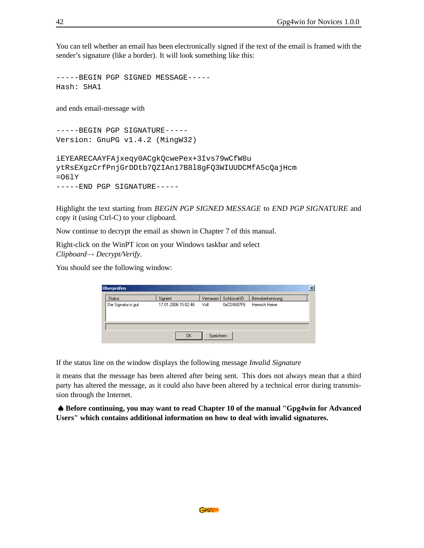You can tell whether an email has been electronically signed if the text of the email is framed with the sender's signature (like a border). It will look something like this:

-----BEGIN PGP SIGNED MESSAGE----- Hash: SHA1

and ends email-message with

-----BEGIN PGP SIGNATURE----- Version: GnuPG v1.4.2 (MingW32)

iEYEARECAAYFAjxeqy0ACgkQcwePex+3Ivs79wCfW8u ytRsEXgzCrfPnjGrDDtb7QZIAn17B8l8gFQ3WIUUDCMfA5cQajHcm  $=061$ -----END PGP SIGNATURE-----

Highlight the text starting from BEGIN PGP SIGNED MESSAGE to END PGP SIGNATURE and copy it (using Ctrl-C) to your clipboard.

Now continue to decrypt the email as shown in Chapter 7 of this manual.

Right-click on the WinPT icon on your Windows taskbar and select *Clipboard*→ *Decrypt/Verify*.

You should see the following window:

| Überprüfen           |                     |           |              |                 | $\vert x \vert$ |
|----------------------|---------------------|-----------|--------------|-----------------|-----------------|
| Status               | Signiert            | Vertrauen | Schlüssel-ID | Benutzerkennung |                 |
| Die Signatur is gut. | 17.01.2006 15:02:46 | Voll      | 0xCD8687F6   | Heinrich Heine  |                 |
|                      | <b>OK</b>           | Speichern |              |                 |                 |

If the status line on the window displays the following message *Invalid Signature*

it means that the message has been altered after being sent. This does not always mean that a third party has altered the message, as it could also have been altered by a technical error during transmission through the Internet.

♠ **Before continuing, you may want to read Chapter 10 of the manual "Gpg4win for Advanced Users" which contains additional information on how to deal with invalid signatures.**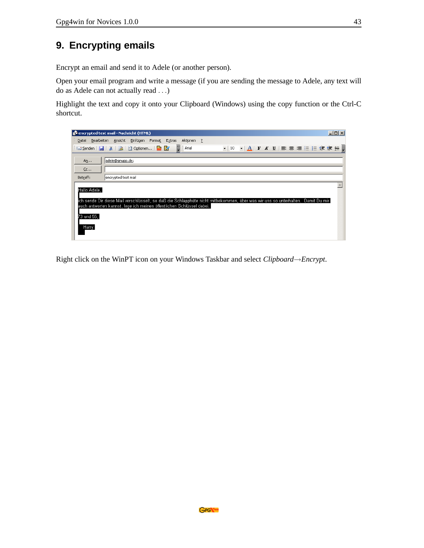# <span id="page-42-0"></span>**9. Encrypting emails**

Encrypt an email and send it to Adele (or another person).

Open your email program and write a message (if you are sending the message to Adele, any text will do as Adele can not actually read ...)

Highlight the text and copy it onto your Clipboard (Windows) using the copy function or the Ctrl-C shortcut.

| encrypted test mail - Nachricht (HTML)                                                                                                                                                                                                           |                                     | $ \Box$ $\times$ |
|--------------------------------------------------------------------------------------------------------------------------------------------------------------------------------------------------------------------------------------------------|-------------------------------------|------------------|
| Bearbeiten Ansicht Einfügen Format Extras<br>Aktionen ?<br>Datei                                                                                                                                                                                 |                                     |                  |
| $\frac{1}{2}$   Arial<br><b>El Senden   H   X   2   B Optionen   ■ B</b>                                                                                                                                                                         | ▼ 10 ▼  A  F K U  事 著 著 注 狂 律 健 無 。 |                  |
| adele@gnupp.de;<br>$A\underline{n}$<br>$C$ c<br>Betreff:<br>lencrypted test mail                                                                                                                                                                 |                                     |                  |
| Hallo Adele,<br>ich sende Dir diese Mail verschlüsselt, so daß die Schlapphüte nicht mitbekommen, über was wir uns so unterhalten. Damit Du mir  <br>auch antworten kannst, lege ich meinen öffentlichen Schlüssel dabei.<br>73 und 55,<br>Harry |                                     |                  |

Right click on the WinPT icon on your Windows Taskbar and select *Clipboard*→*Encrypt*.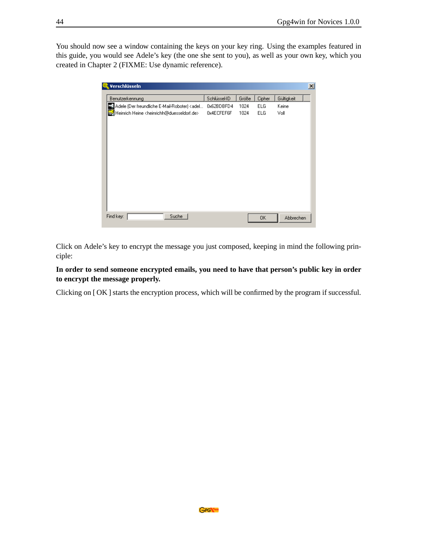You should now see a window containing the keys on your key ring. Using the examples featured in this guide, you would see Adele's key (the one she sent to you), as well as your own key, which you created in Chapter 2 (FIXME: Use dynamic reference).

| Verschlüsseln                                                                                                                   |              |       |        |            | $\mathbf{x}$ |
|---------------------------------------------------------------------------------------------------------------------------------|--------------|-------|--------|------------|--------------|
| Benutzerkennung                                                                                                                 | Schlüssel-ID | Größe | Cipher | Gültigkeit |              |
| Adele (Der freundliche E-Mail-Roboter) <adel< td=""><td>0x62BDBFD4</td><td>1024</td><td>ELG</td><td>Keine</td><td></td></adel<> | 0x62BDBFD4   | 1024  | ELG    | Keine      |              |
| Heinrich Heine <heinrichh@duesseldorf.de></heinrichh@duesseldorf.de>                                                            | 0x4ECFEF6F   | 1024  | ELG    | Voll       |              |
|                                                                                                                                 |              |       |        |            |              |
|                                                                                                                                 |              |       |        |            |              |
|                                                                                                                                 |              |       |        |            |              |
|                                                                                                                                 |              |       |        |            |              |
|                                                                                                                                 |              |       |        |            |              |
|                                                                                                                                 |              |       |        |            |              |
|                                                                                                                                 |              |       |        |            |              |
|                                                                                                                                 |              |       |        |            |              |
|                                                                                                                                 |              |       |        |            |              |
|                                                                                                                                 |              |       |        |            |              |
|                                                                                                                                 |              |       |        |            |              |
|                                                                                                                                 |              |       |        |            |              |
|                                                                                                                                 |              |       |        |            |              |
| Find key:<br>Suche                                                                                                              |              |       |        |            |              |
|                                                                                                                                 |              |       | 0K     | Abbrechen  |              |

Click on Adele's key to encrypt the message you just composed, keeping in mind the following principle:

**In order to send someone encrypted emails, you need to have that person's public key in order to encrypt the message properly.**

Clicking on [ OK ] starts the encryption process, which will be confirmed by the program if successful.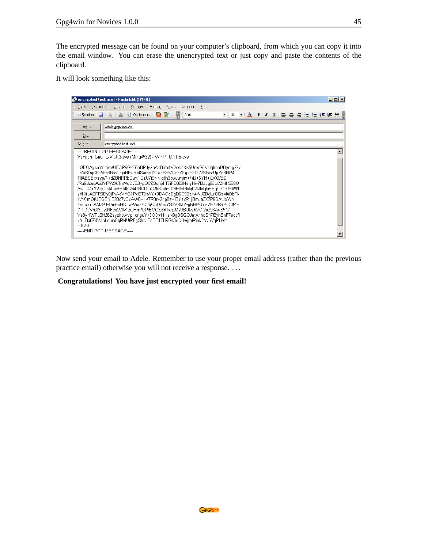The encrypted message can be found on your computer's clipboard, from which you can copy it into the email window. You can erase the unencrypted text or just copy and paste the contents of the clipboard.

It will look something like this:

|                                          | encrypted test mail - Nachricht (HTML)                                |                                                                                                                                                                                                                                                                                                                                                                                                                                                                                                                                                                                                                                                                                                                                                                                                                                |    |  | $ \Box$ $\times$ |
|------------------------------------------|-----------------------------------------------------------------------|--------------------------------------------------------------------------------------------------------------------------------------------------------------------------------------------------------------------------------------------------------------------------------------------------------------------------------------------------------------------------------------------------------------------------------------------------------------------------------------------------------------------------------------------------------------------------------------------------------------------------------------------------------------------------------------------------------------------------------------------------------------------------------------------------------------------------------|----|--|------------------|
| Bearbeiten<br>Daniel.                    | Ansicht<br>Einnigen –                                                 | Aktionen<br>Format Extras                                                                                                                                                                                                                                                                                                                                                                                                                                                                                                                                                                                                                                                                                                                                                                                                      | -? |  |                  |
| ill_"Senden<br>H                         | : Optionen<br>$\mathbb{Z}$                                            | H<br>: Arial<br>us,<br>12                                                                                                                                                                                                                                                                                                                                                                                                                                                                                                                                                                                                                                                                                                                                                                                                      |    |  |                  |
| An<br>Cc<br>Bectrem                      | adele@gnupp.de;<br>encrypted test mail<br>-----REGIN PGP MESSAGE----- |                                                                                                                                                                                                                                                                                                                                                                                                                                                                                                                                                                                                                                                                                                                                                                                                                                |    |  |                  |
| $=1$ N5 $k$<br>-----END PGP MESSAGE----- |                                                                       | Version: GnuPG v1.4.3-cvs (MingW32) - WinPT 0.11.5-cvs<br>hQEOAysxYodivb/UEAP9GkT5oBRJy2nAkBYx4V2wcnXK5UowS5VHqhhhDBymq27v<br>LVpSDqC8x58o8Rxv0epiHFvlHMSamsT3TaqSEVUx3YFqxFXTL7/SGvzUpYe8l8P4<br>TIfAESEx/syp/4+dZBNRRbQvm1GzU7i9NNlqlln3pwJvmjrv+7dJ+5YH+jDXQ/ED<br>/Ru6dzuoAu8VPW9kTnWcCl/E3ypGCZSqn6hT7iFD0ElNmyHw7Bzoq85cC2MhS68G<br>AwfuXZxY2ckClvk0w+EMbQ6418ODruC2kKnddsC9EtM3Mq02QMqlx5SqLG13T9WN<br>yXKitu4j6FR8Dy0jFvAoVYG1PcET2sAY+0DAGoDgD6O90sA4AUZBgLeSSsMuDbFk<br>Y/4CmQtUEGENIE28c7vQxA/A8+1K7R8r+24p8z+IBYaxR1jBmJa3X2P6G/vLixWN<br>7mrcYmAM790vDe+iuHQnwWsr4/O2qQpQ/ucYS2VSfJYvgRHPGxi47B73K9PdOfM+<br>CPIDcVrGf3UytNFcqWl/v1zOHm70PIBOGS8rfTwipMy9SUlvshVQl2oZ96AaS9G1<br>Ve8yNWPu6HZ62syzhbwMp1cnquYx3CCp11+sN3qDSQOJmAhhoSh7EyhBnF7sqcfl<br>kY1Ba674VanLoun:6qRNUfRFgShbJFsBE1TH9GIOdCHwjmfRiuk2MJWqRLM= |    |  |                  |

Now send your email to Adele. Remember to use your proper email address (rather than the previous practice email) otherwise you will not receive a response. ...

**Congratulations! You have just encrypted your first email!**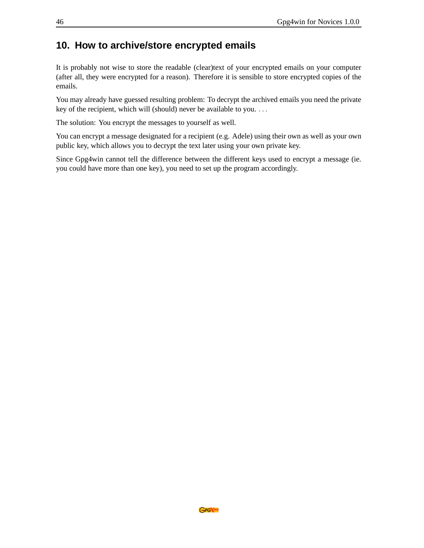### <span id="page-45-0"></span>**10. How to archive/store encrypted emails**

It is probably not wise to store the readable (clear)text of your encrypted emails on your computer (after all, they were encrypted for a reason). Therefore it is sensible to store encrypted copies of the emails.

You may already have guessed resulting problem: To decrypt the archived emails you need the private key of the recipient, which will (should) never be available to you. ...

The solution: You encrypt the messages to yourself as well.

You can encrypt a message designated for a recipient (e.g. Adele) using their own as well as your own public key, which allows you to decrypt the text later using your own private key.

Since Gpg4win cannot tell the difference between the different keys used to encrypt a message (ie. you could have more than one key), you need to set up the program accordingly.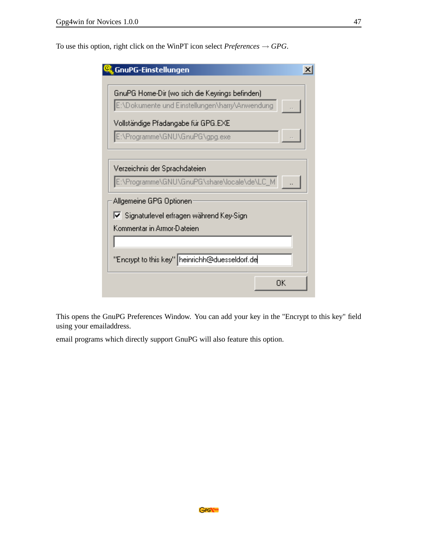To use this option, right click on the WinPT icon select  $Preferences \rightarrow GPG$ .

| GnuPG-Einstellungen                                                   |
|-----------------------------------------------------------------------|
| GnuPG Home-Dir (wo sich die Keyrings befinden)                        |
| E:\Dokumente und Einstellungen\harry\Anwendung                        |
|                                                                       |
| Vollständige Pfadangabe für GPG.EXE<br>E:\Programme\GNU\GnuPG\gpg.exe |
|                                                                       |
|                                                                       |
| Verzeichnis der Sprachdateien                                         |
| E:\Programme\GNU\GnuPG\share\locale\de\LC_M                           |
| Allgemeine GPG Optionen                                               |
| Ⅳ Signaturlevel erfragen während Key-Sign                             |
| Kommentar in Armor-Dateien                                            |
|                                                                       |
| "Encrypt to this key" heinrichh@duesseldorf.de                        |
|                                                                       |
| ΩK                                                                    |
|                                                                       |

This opens the GnuPG Preferences Window. You can add your key in the "Encrypt to this key" field using your emailaddress.

email programs which directly support GnuPG will also feature this option.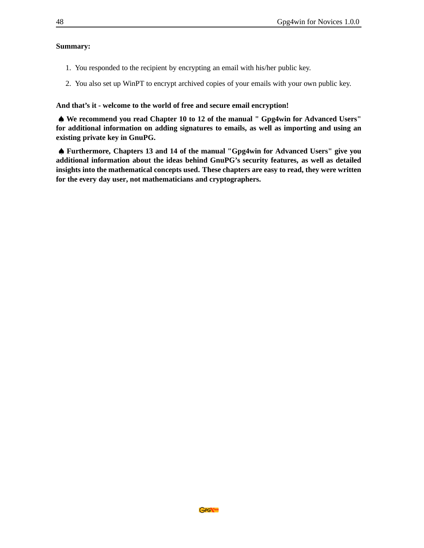#### **Summary:**

- 1. You responded to the recipient by encrypting an email with his/her public key.
- 2. You also set up WinPT to encrypt archived copies of your emails with your own public key.

**And that's it - welcome to the world of free and secure email encryption!**

♠ **We recommend you read Chapter 10 to 12 of the manual " Gpg4win for Advanced Users" for additional information on adding signatures to emails, as well as importing and using an existing private key in GnuPG.**

♠ **Furthermore, Chapters 13 and 14 of the manual "Gpg4win for Advanced Users" give you additional information about the ideas behind GnuPG's security features, as well as detailed insights into the mathematical concepts used. These chapters are easy to read, they were written for the every day user, not mathematicians and cryptographers.**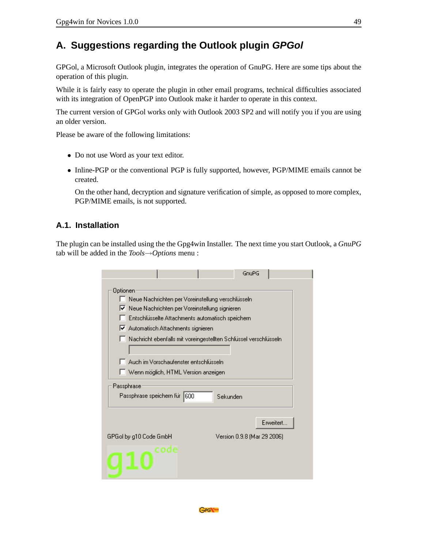# <span id="page-48-0"></span>**A. Suggestions regarding the Outlook plugin GPGol**

GPGol, a Microsoft Outlook plugin, integrates the operation of GnuPG. Here are some tips about the operation of this plugin.

While it is fairly easy to operate the plugin in other email programs, technical difficulties associated with its integration of OpenPGP into Outlook make it harder to operate in this context.

The current version of GPGol works only with Outlook 2003 SP2 and will notify you if you are using an older version.

Please be aware of the following limitations:

- Do not use Word as your text editor.
- Inline-PGP or the conventional PGP is fully supported, however, PGP/MIME emails cannot be created.

On the other hand, decryption and signature verification of simple, as opposed to more complex, PGP/MIME emails, is not supported.

#### <span id="page-48-1"></span>**A.1. Installation**

The plugin can be installed using the the Gpg4win Installer. The next time you start Outlook, a *GnuPG* tab will be added in the *Tools*→*Options* menu :

|                                                                  | GnuPG                       |
|------------------------------------------------------------------|-----------------------------|
| Optionen                                                         |                             |
| │ Neue Nachrichten per Voreinstellung verschlüsseln.             |                             |
| Ⅳ Neue Nachrichten per Voreinstellung signieren                  |                             |
| Entschlüsselte Attachments automatisch speichern                 |                             |
| Ⅳ Automatisch Attachments signieren                              |                             |
| Nachricht ebenfalls mit voreingestellten Schlüssel verschlüsseln |                             |
|                                                                  |                             |
| Auch im Vorschaufenster entschlüsseln                            |                             |
| Wenn möglich, HTML Version anzeigen                              |                             |
|                                                                  |                             |
| Passphrase                                                       |                             |
| Passphrase speichern für  600                                    | Sekunden                    |
|                                                                  |                             |
|                                                                  | Erweitert.                  |
| GPGol by g10 Code GmbH                                           | Version 0.9.8 (Mar 29 2006) |
| code                                                             |                             |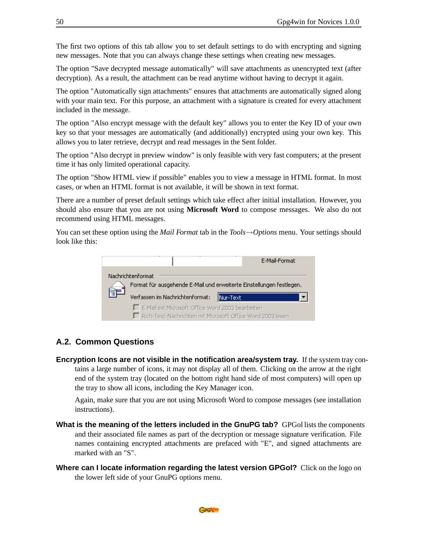The first two options of this tab allow you to set default settings to do with encrypting and signing new messages. Note that you can always change these settings when creating new messages.

The option "Save decrypted message automatically" will save attachments as unencrypted text (after decryption). As a result, the attachment can be read anytime without having to decrypt it again.

The option "Automatically sign attachments" ensures that attachments are automatically signed along with your main text. For this purpose, an attachment with a signature is created for every attachment included in the message.

The option "Also encrypt message with the default key" allows you to enter the Key ID of your own key so that your messages are automatically (and additionally) encrypted using your own key. This allows you to later retrieve, decrypt and read messages in the Sent folder.

The option "Also decrypt in preview window" is only feasible with very fast computers; at the present time it has only limited operational capacity.

The option "Show HTML view if possible" enables you to view a message in HTML format. In most cases, or when an HTML format is not available, it will be shown in text format.

There are a number of preset default settings which take effect after initial installation. However, you should also ensure that you are not using **Microsoft Word** to compose messages. We also do not recommend using HTML messages.

You can set these option using the *Mail Format* tab in the *Tools*→*Options* menu. Your settings should look like this:



#### <span id="page-49-0"></span>**A.2. Common Questions**

**Encryption Icons are not visible in the notification area/system tray.** If the system tray contains a large number of icons, it may not display all of them. Clicking on the arrow at the right end of the system tray (located on the bottom right hand side of most computers) will open up the tray to show all icons, including the Key Manager icon.

Again, make sure that you are not using Microsoft Word to compose messages (see installation instructions).

- **What is the meaning of the letters included in the GnuPG tab?** GPGol lists the components and their associated file names as part of the decryption or message signature verification. File names containing encrypted attachments are prefaced with "E", and signed attachments are marked with an "S".
- **Where can I locate information regarding the latest version GPGol?** Click on the logo on the lower left side of your GnuPG options menu.

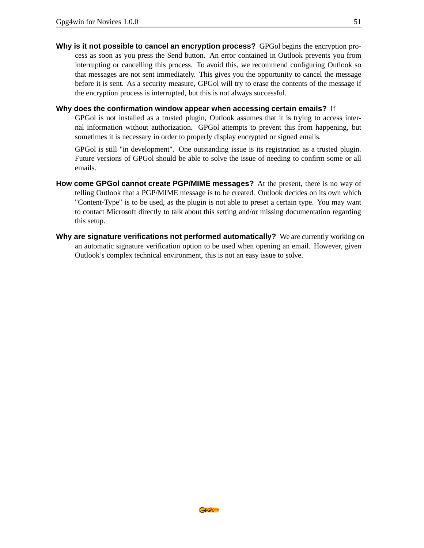**Why is it not possible to cancel an encryption process?** GPGol begins the encryption process as soon as you press the Send button. An error contained in Outlook prevents you from interrupting or cancelling this process. To avoid this, we recommend configuring Outlook so that messages are not sent immediately. This gives you the opportunity to cancel the message before it is sent. As a security measure, GPGol will try to erase the contents of the message if the encryption process is interrupted, but this is not always successful.

#### **Why does the confirmation window appear when accessing certain emails?** If

GPGol is not installed as a trusted plugin, Outlook assumes that it is trying to access internal information without authorization. GPGol attempts to prevent this from happening, but sometimes it is necessary in order to properly display encrypted or signed emails.

GPGol is still "in development". One outstanding issue is its registration as a trusted plugin. Future versions of GPGol should be able to solve the issue of needing to confirm some or all emails.

- **How come GPGol cannot create PGP/MIME messages?** At the present, there is no way of telling Outlook that a PGP/MIME message is to be created. Outlook decides on its own which "Content-Type" is to be used, as the plugin is not able to preset a certain type. You may want to contact Microsoft directly to talk about this setting and/or missing documentation regarding this setup.
- **Why are signature verifications not performed automatically?** We are currently working on an automatic signature verification option to be used when opening an email. However, given Outlook's complex technical environment, this is not an easy issue to solve.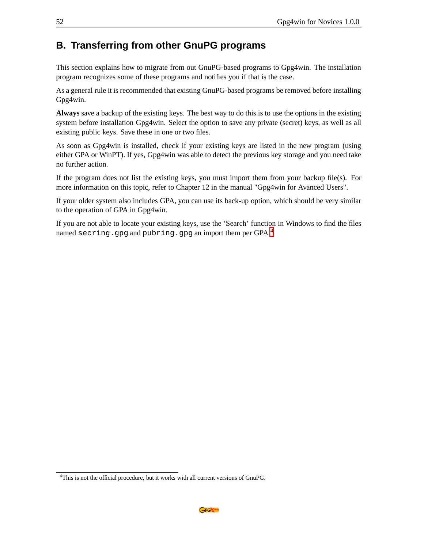### <span id="page-51-0"></span>**B. Transferring from other GnuPG programs**

This section explains how to migrate from out GnuPG-based programs to Gpg4win. The installation program recognizes some of these programs and notifies you if that is the case.

As a general rule it is recommended that existing GnuPG-based programs be removed before installing Gpg4win.

**Always** save a backup of the existing keys. The best way to do this is to use the options in the existing system before installation Gpg4win. Select the option to save any private (secret) keys, as well as all existing public keys. Save these in one or two files.

As soon as Gpg4win is installed, check if your existing keys are listed in the new program (using either GPA or WinPT). If yes, Gpg4win was able to detect the previous key storage and you need take no further action.

If the program does not list the existing keys, you must import them from your backup file(s). For more information on this topic, refer to Chapter 12 in the manual "Gpg4win for Avanced Users".

If your older system also includes GPA, you can use its back-up option, which should be very similar to the operation of GPA in Gpg4win.

If you are not able to locate your existing keys, use the 'Search' function in Windows to find the files named secring.gpg and pubring.gpg an import them per  $GPA<sup>4</sup>$  $GPA<sup>4</sup>$  $GPA<sup>4</sup>$ 

<span id="page-51-1"></span><sup>&</sup>lt;sup>4</sup>This is not the official procedure, but it works with all current versions of GnuPG.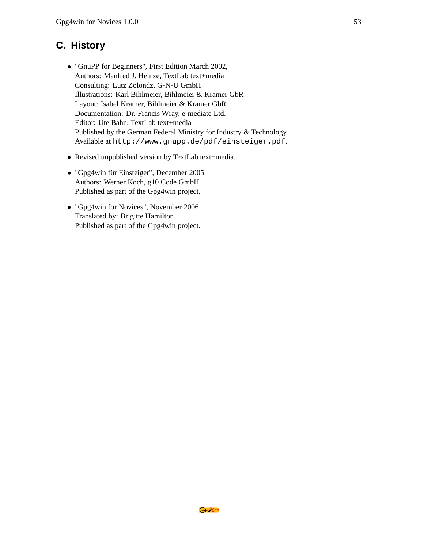# <span id="page-52-0"></span>**C. History**

- "GnuPP for Beginners", First Edition March 2002, Authors: Manfred J. Heinze, TextLab text+media Consulting: Lutz Zolondz, G-N-U GmbH Illustrations: Karl Bihlmeier, Bihlmeier & Kramer GbR Layout: Isabel Kramer, Bihlmeier & Kramer GbR Documentation: Dr. Francis Wray, e-mediate Ltd. Editor: Ute Bahn, TextLab text+media Published by the German Federal Ministry for Industry & Technology. Available at http://www.gnupp.de/pdf/einsteiger.pdf.
- Revised unpublished version by TextLab text+media.
- "Gpg4win für Einsteiger", December 2005 Authors: Werner Koch, g10 Code GmbH Published as part of the Gpg4win project.
- "Gpg4win for Novices", November 2006 Translated by: Brigitte Hamilton Published as part of the Gpg4win project.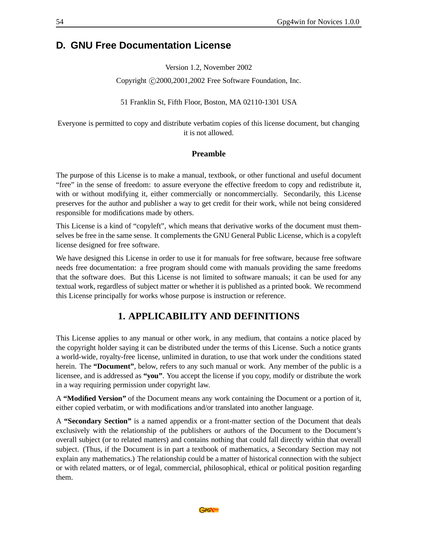### <span id="page-53-0"></span>**D. GNU Free Documentation License**

Version 1.2, November 2002

Copyright ( $C$ )2000,2001,2002 Free Software Foundation, Inc.

51 Franklin St, Fifth Floor, Boston, MA 02110-1301 USA

Everyone is permitted to copy and distribute verbatim copies of this license document, but changing it is not allowed.

#### **Preamble**

The purpose of this License is to make a manual, textbook, or other functional and useful document "free" in the sense of freedom: to assure everyone the effective freedom to copy and redistribute it, with or without modifying it, either commercially or noncommercially. Secondarily, this License preserves for the author and publisher a way to get credit for their work, while not being considered responsible for modifications made by others.

This License is a kind of "copyleft", which means that derivative works of the document must themselves be free in the same sense. It complements the GNU General Public License, which is a copyleft license designed for free software.

We have designed this License in order to use it for manuals for free software, because free software needs free documentation: a free program should come with manuals providing the same freedoms that the software does. But this License is not limited to software manuals; it can be used for any textual work, regardless of subject matter or whether it is published as a printed book. We recommend this License principally for works whose purpose is instruction or reference.

### **1. APPLICABILITY AND DEFINITIONS**

This License applies to any manual or other work, in any medium, that contains a notice placed by the copyright holder saying it can be distributed under the terms of this License. Such a notice grants a world-wide, royalty-free license, unlimited in duration, to use that work under the conditions stated herein. The **"Document"**, below, refers to any such manual or work. Any member of the public is a licensee, and is addressed as **"you"**. You accept the license if you copy, modify or distribute the work in a way requiring permission under copyright law.

A **"Modified Version"** of the Document means any work containing the Document or a portion of it, either copied verbatim, or with modifications and/or translated into another language.

A **"Secondary Section"** is a named appendix or a front-matter section of the Document that deals exclusively with the relationship of the publishers or authors of the Document to the Document's overall subject (or to related matters) and contains nothing that could fall directly within that overall subject. (Thus, if the Document is in part a textbook of mathematics, a Secondary Section may not explain any mathematics.) The relationship could be a matter of historical connection with the subject or with related matters, or of legal, commercial, philosophical, ethical or political position regarding them.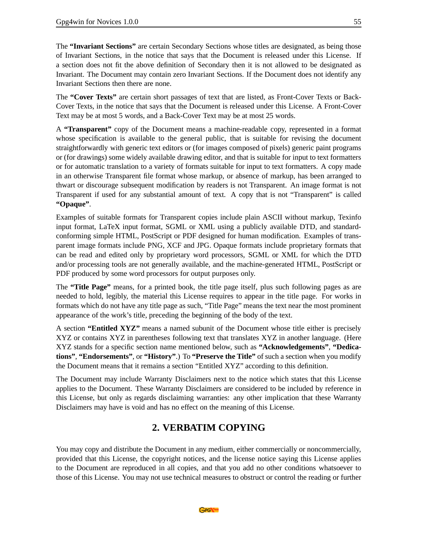The **"Invariant Sections"** are certain Secondary Sections whose titles are designated, as being those of Invariant Sections, in the notice that says that the Document is released under this License. If a section does not fit the above definition of Secondary then it is not allowed to be designated as Invariant. The Document may contain zero Invariant Sections. If the Document does not identify any Invariant Sections then there are none.

The **"Cover Texts"** are certain short passages of text that are listed, as Front-Cover Texts or Back-Cover Texts, in the notice that says that the Document is released under this License. A Front-Cover Text may be at most 5 words, and a Back-Cover Text may be at most 25 words.

A **"Transparent"** copy of the Document means a machine-readable copy, represented in a format whose specification is available to the general public, that is suitable for revising the document straightforwardly with generic text editors or (for images composed of pixels) generic paint programs or (for drawings) some widely available drawing editor, and that is suitable for input to text formatters or for automatic translation to a variety of formats suitable for input to text formatters. A copy made in an otherwise Transparent file format whose markup, or absence of markup, has been arranged to thwart or discourage subsequent modification by readers is not Transparent. An image format is not Transparent if used for any substantial amount of text. A copy that is not "Transparent" is called **"Opaque"**.

Examples of suitable formats for Transparent copies include plain ASCII without markup, Texinfo input format, LaTeX input format, SGML or XML using a publicly available DTD, and standardconforming simple HTML, PostScript or PDF designed for human modification. Examples of transparent image formats include PNG, XCF and JPG. Opaque formats include proprietary formats that can be read and edited only by proprietary word processors, SGML or XML for which the DTD and/or processing tools are not generally available, and the machine-generated HTML, PostScript or PDF produced by some word processors for output purposes only.

The **"Title Page"** means, for a printed book, the title page itself, plus such following pages as are needed to hold, legibly, the material this License requires to appear in the title page. For works in formats which do not have any title page as such, "Title Page" means the text near the most prominent appearance of the work's title, preceding the beginning of the body of the text.

A section **"Entitled XYZ"** means a named subunit of the Document whose title either is precisely XYZ or contains XYZ in parentheses following text that translates XYZ in another language. (Here XYZ stands for a specific section name mentioned below, such as **"Acknowledgements"**, **"Dedications"**, **"Endorsements"**, or **"History"**.) To **"Preserve the Title"** of such a section when you modify the Document means that it remains a section "Entitled XYZ" according to this definition.

The Document may include Warranty Disclaimers next to the notice which states that this License applies to the Document. These Warranty Disclaimers are considered to be included by reference in this License, but only as regards disclaiming warranties: any other implication that these Warranty Disclaimers may have is void and has no effect on the meaning of this License.

### **2. VERBATIM COPYING**

You may copy and distribute the Document in any medium, either commercially or noncommercially, provided that this License, the copyright notices, and the license notice saying this License applies to the Document are reproduced in all copies, and that you add no other conditions whatsoever to those of this License. You may not use technical measures to obstruct or control the reading or further

GPG\\4with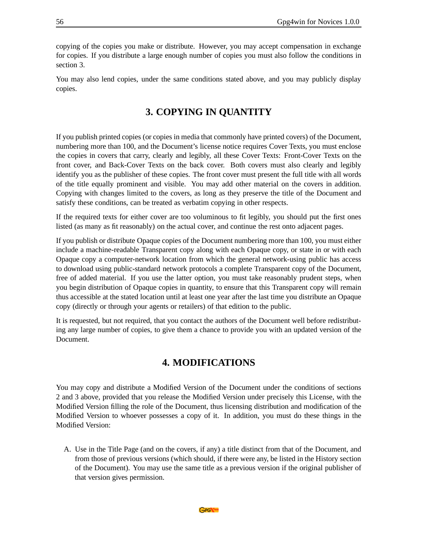copying of the copies you make or distribute. However, you may accept compensation in exchange for copies. If you distribute a large enough number of copies you must also follow the conditions in section 3.

You may also lend copies, under the same conditions stated above, and you may publicly display copies.

### **3. COPYING IN QUANTITY**

If you publish printed copies (or copies in media that commonly have printed covers) of the Document, numbering more than 100, and the Document's license notice requires Cover Texts, you must enclose the copies in covers that carry, clearly and legibly, all these Cover Texts: Front-Cover Texts on the front cover, and Back-Cover Texts on the back cover. Both covers must also clearly and legibly identify you as the publisher of these copies. The front cover must present the full title with all words of the title equally prominent and visible. You may add other material on the covers in addition. Copying with changes limited to the covers, as long as they preserve the title of the Document and satisfy these conditions, can be treated as verbatim copying in other respects.

If the required texts for either cover are too voluminous to fit legibly, you should put the first ones listed (as many as fit reasonably) on the actual cover, and continue the rest onto adjacent pages.

If you publish or distribute Opaque copies of the Document numbering more than 100, you must either include a machine-readable Transparent copy along with each Opaque copy, or state in or with each Opaque copy a computer-network location from which the general network-using public has access to download using public-standard network protocols a complete Transparent copy of the Document, free of added material. If you use the latter option, you must take reasonably prudent steps, when you begin distribution of Opaque copies in quantity, to ensure that this Transparent copy will remain thus accessible at the stated location until at least one year after the last time you distribute an Opaque copy (directly or through your agents or retailers) of that edition to the public.

It is requested, but not required, that you contact the authors of the Document well before redistributing any large number of copies, to give them a chance to provide you with an updated version of the Document.

### **4. MODIFICATIONS**

You may copy and distribute a Modified Version of the Document under the conditions of sections 2 and 3 above, provided that you release the Modified Version under precisely this License, with the Modified Version filling the role of the Document, thus licensing distribution and modification of the Modified Version to whoever possesses a copy of it. In addition, you must do these things in the Modified Version:

A. Use in the Title Page (and on the covers, if any) a title distinct from that of the Document, and from those of previous versions (which should, if there were any, be listed in the History section of the Document). You may use the same title as a previous version if the original publisher of that version gives permission.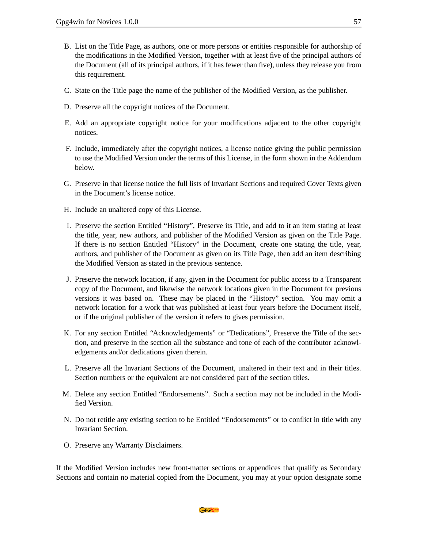- B. List on the Title Page, as authors, one or more persons or entities responsible for authorship of the modifications in the Modified Version, together with at least five of the principal authors of the Document (all of its principal authors, if it has fewer than five), unless they release you from this requirement.
- C. State on the Title page the name of the publisher of the Modified Version, as the publisher.
- D. Preserve all the copyright notices of the Document.
- E. Add an appropriate copyright notice for your modifications adjacent to the other copyright notices.
- F. Include, immediately after the copyright notices, a license notice giving the public permission to use the Modified Version under the terms of this License, in the form shown in the Addendum below.
- G. Preserve in that license notice the full lists of Invariant Sections and required Cover Texts given in the Document's license notice.
- H. Include an unaltered copy of this License.
- I. Preserve the section Entitled "History", Preserve its Title, and add to it an item stating at least the title, year, new authors, and publisher of the Modified Version as given on the Title Page. If there is no section Entitled "History" in the Document, create one stating the title, year, authors, and publisher of the Document as given on its Title Page, then add an item describing the Modified Version as stated in the previous sentence.
- J. Preserve the network location, if any, given in the Document for public access to a Transparent copy of the Document, and likewise the network locations given in the Document for previous versions it was based on. These may be placed in the "History" section. You may omit a network location for a work that was published at least four years before the Document itself, or if the original publisher of the version it refers to gives permission.
- K. For any section Entitled "Acknowledgements" or "Dedications", Preserve the Title of the section, and preserve in the section all the substance and tone of each of the contributor acknowledgements and/or dedications given therein.
- L. Preserve all the Invariant Sections of the Document, unaltered in their text and in their titles. Section numbers or the equivalent are not considered part of the section titles.
- M. Delete any section Entitled "Endorsements". Such a section may not be included in the Modified Version.
- N. Do not retitle any existing section to be Entitled "Endorsements" or to conflict in title with any Invariant Section.
- O. Preserve any Warranty Disclaimers.

If the Modified Version includes new front-matter sections or appendices that qualify as Secondary Sections and contain no material copied from the Document, you may at your option designate some

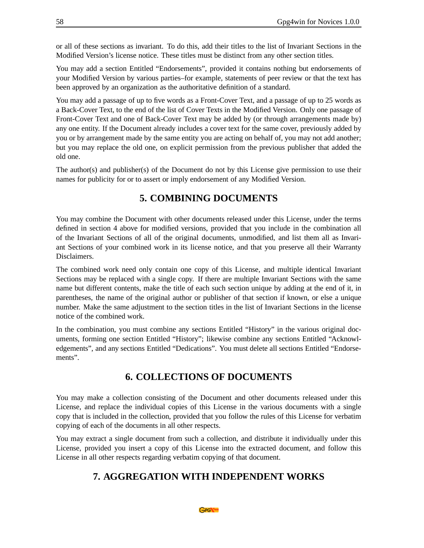or all of these sections as invariant. To do this, add their titles to the list of Invariant Sections in the Modified Version's license notice. These titles must be distinct from any other section titles.

You may add a section Entitled "Endorsements", provided it contains nothing but endorsements of your Modified Version by various parties–for example, statements of peer review or that the text has been approved by an organization as the authoritative definition of a standard.

You may add a passage of up to five words as a Front-Cover Text, and a passage of up to 25 words as a Back-Cover Text, to the end of the list of Cover Texts in the Modified Version. Only one passage of Front-Cover Text and one of Back-Cover Text may be added by (or through arrangements made by) any one entity. If the Document already includes a cover text for the same cover, previously added by you or by arrangement made by the same entity you are acting on behalf of, you may not add another; but you may replace the old one, on explicit permission from the previous publisher that added the old one.

The author(s) and publisher(s) of the Document do not by this License give permission to use their names for publicity for or to assert or imply endorsement of any Modified Version.

#### **5. COMBINING DOCUMENTS**

You may combine the Document with other documents released under this License, under the terms defined in section 4 above for modified versions, provided that you include in the combination all of the Invariant Sections of all of the original documents, unmodified, and list them all as Invariant Sections of your combined work in its license notice, and that you preserve all their Warranty Disclaimers.

The combined work need only contain one copy of this License, and multiple identical Invariant Sections may be replaced with a single copy. If there are multiple Invariant Sections with the same name but different contents, make the title of each such section unique by adding at the end of it, in parentheses, the name of the original author or publisher of that section if known, or else a unique number. Make the same adjustment to the section titles in the list of Invariant Sections in the license notice of the combined work.

In the combination, you must combine any sections Entitled "History" in the various original documents, forming one section Entitled "History"; likewise combine any sections Entitled "Acknowledgements", and any sections Entitled "Dedications". You must delete all sections Entitled "Endorsements".

### **6. COLLECTIONS OF DOCUMENTS**

You may make a collection consisting of the Document and other documents released under this License, and replace the individual copies of this License in the various documents with a single copy that is included in the collection, provided that you follow the rules of this License for verbatim copying of each of the documents in all other respects.

You may extract a single document from such a collection, and distribute it individually under this License, provided you insert a copy of this License into the extracted document, and follow this License in all other respects regarding verbatim copying of that document.

### **7. AGGREGATION WITH INDEPENDENT WORKS**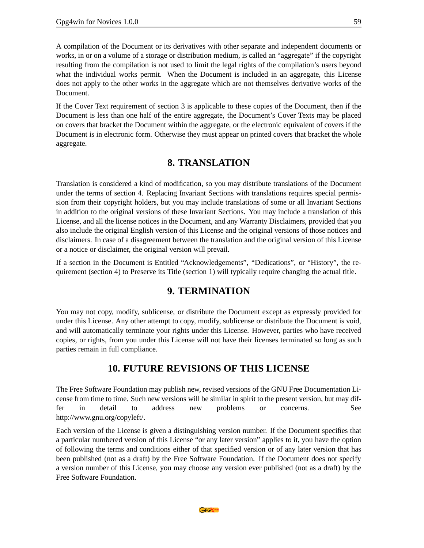A compilation of the Document or its derivatives with other separate and independent documents or works, in or on a volume of a storage or distribution medium, is called an "aggregate" if the copyright resulting from the compilation is not used to limit the legal rights of the compilation's users beyond what the individual works permit. When the Document is included in an aggregate, this License does not apply to the other works in the aggregate which are not themselves derivative works of the Document.

If the Cover Text requirement of section 3 is applicable to these copies of the Document, then if the Document is less than one half of the entire aggregate, the Document's Cover Texts may be placed on covers that bracket the Document within the aggregate, or the electronic equivalent of covers if the Document is in electronic form. Otherwise they must appear on printed covers that bracket the whole aggregate.

#### **8. TRANSLATION**

Translation is considered a kind of modification, so you may distribute translations of the Document under the terms of section 4. Replacing Invariant Sections with translations requires special permission from their copyright holders, but you may include translations of some or all Invariant Sections in addition to the original versions of these Invariant Sections. You may include a translation of this License, and all the license notices in the Document, and any Warranty Disclaimers, provided that you also include the original English version of this License and the original versions of those notices and disclaimers. In case of a disagreement between the translation and the original version of this License or a notice or disclaimer, the original version will prevail.

If a section in the Document is Entitled "Acknowledgements", "Dedications", or "History", the requirement (section 4) to Preserve its Title (section 1) will typically require changing the actual title.

#### **9. TERMINATION**

You may not copy, modify, sublicense, or distribute the Document except as expressly provided for under this License. Any other attempt to copy, modify, sublicense or distribute the Document is void, and will automatically terminate your rights under this License. However, parties who have received copies, or rights, from you under this License will not have their licenses terminated so long as such parties remain in full compliance.

#### **10. FUTURE REVISIONS OF THIS LICENSE**

The Free Software Foundation may publish new, revised versions of the GNU Free Documentation License from time to time. Such new versions will be similar in spirit to the present version, but may differ in detail to address new problems or concerns. See http://www.gnu.org/copyleft/.

Each version of the License is given a distinguishing version number. If the Document specifies that a particular numbered version of this License "or any later version" applies to it, you have the option of following the terms and conditions either of that specified version or of any later version that has been published (not as a draft) by the Free Software Foundation. If the Document does not specify a version number of this License, you may choose any version ever published (not as a draft) by the Free Software Foundation.

GPG\\4with